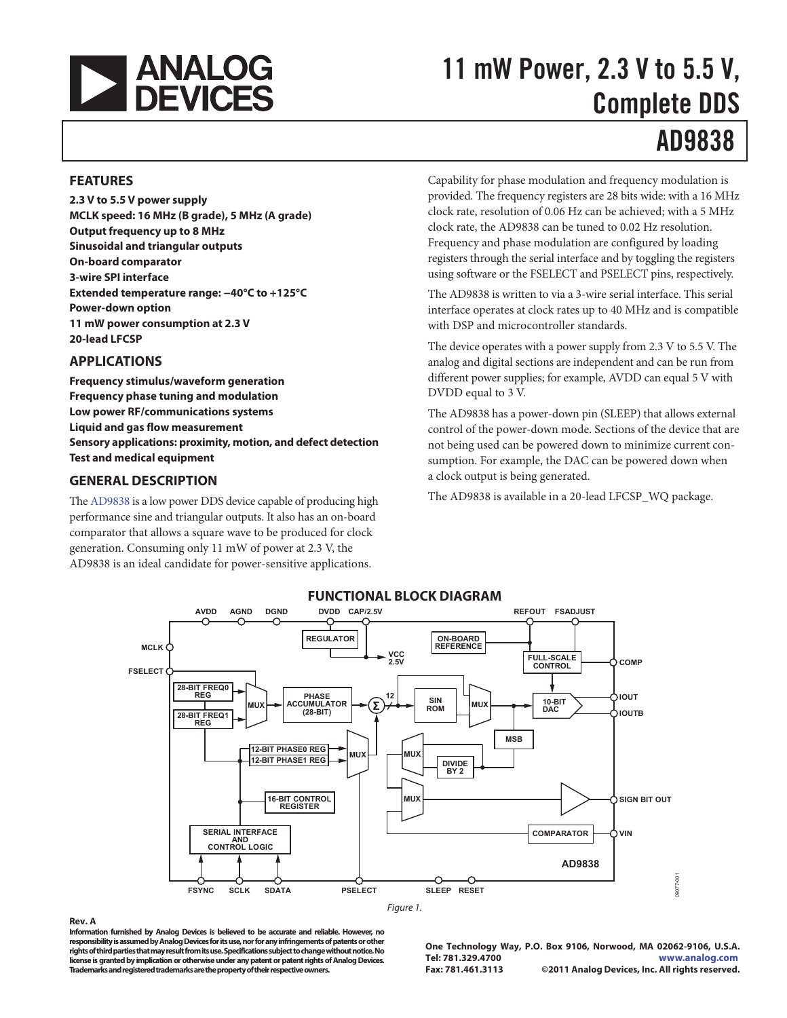

# 11 mW Power, 2.3 V to 5.5 V, Complete DDS

# AD9838

#### **FEATURES**

**2.3 V to 5.5 V power supply MCLK speed: 16 MHz (B grade), 5 MHz (A grade) Output frequency up to 8 MHz Sinusoidal and triangular outputs On-board comparator 3-wire SPI interface Extended temperature range: −40°C to +125°C Power-down option 11 mW power consumption at 2.3 V 20-lead LFCSP** 

### **APPLICATIONS**

**Frequency stimulus/waveform generation Frequency phase tuning and modulation Low power RF/communications systems Liquid and gas flow measurement Sensory applications: proximity, motion, and defect detection Test and medical equipment** 

### **GENERAL DESCRIPTION**

The AD9838 is a low power DDS device capable of producing high performance sine and triangular outputs. It also has an on-board comparator that allows a square wave to be produced for clock generation. Consuming only 11 mW of power at 2.3 V, the AD9838 is an ideal candidate for power-sensitive applications.

Capability for phase modulation and frequency modulation is provided. The frequency registers are 28 bits wide: with a 16 MHz clock rate, resolution of 0.06 Hz can be achieved; with a 5 MHz clock rate, the AD9838 can be tuned to 0.02 Hz resolution. Frequency and phase modulation are configured by loading registers through the serial interface and by toggling the registers using software or the FSELECT and PSELECT pins, respectively.

The AD9838 is written to via a 3-wire serial interface. This serial interface operates at clock rates up to 40 MHz and is compatible with DSP and microcontroller standards.

The device operates with a power supply from 2.3 V to 5.5 V. The analog and digital sections are independent and can be run from different power supplies; for example, AVDD can equal 5 V with DVDD equal to 3 V.

The AD9838 has a power-down pin (SLEEP) that allows external control of the power-down mode. Sections of the device that are not being used can be powered down to minimize current consumption. For example, the DAC can be powered down when a clock output is being generated.

The AD9838 is available in a 20-lead LFCSP\_WQ package.



### **FUNCTIONAL BLOCK DIAGRAM**

#### **Rev. A**

**Information furnished by Analog Devices is believed to be accurate and reliable. However, no responsibility is assumed by Analog Devices for its use, nor for any infringements of patents or other rights of third parties that may result from its use. Specifications subject to change without notice. No license is granted by implication or otherwise under any patent or patent rights of Analog Devices. Trademarks and registered trademarks are the property of their respective owners.** 

**One Technology Way, P.O. Box 9106, Norwood, MA 02062-9106, U.S.A. Tel: 781.329.4700 www.analog.com Fax: 781.461.3113 ©2011 Analog Devices, Inc. All rights reserved.**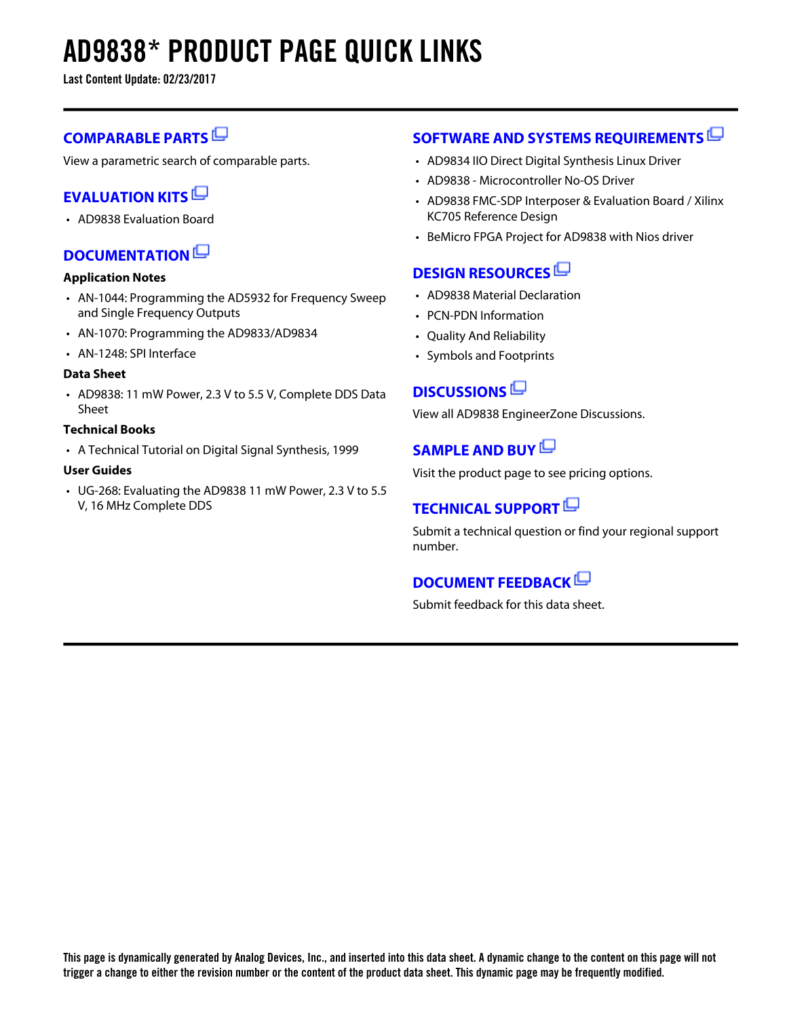# **AD9838\* PRODUCT PAGE QUICK LINKS**

**Last Content Update: 02/23/2017**

## **[COMPARABLE PARTS](http://www.analog.com/parametricsearch/en/11018?doc=AD9838.pdf&p0=1&lsrc=pst)**

View a parametric search of comparable parts.

## **[EVALUATION KITS](http://www.analog.com/ad9838/evalkits?doc=AD9838.pdf&p0=1&lsrc=ek)**

• AD9838 Evaluation Board

## **[DOCUMENTATION](http://www.analog.com/ad9838/documentation?doc=AD9838.pdf&p0=1&lsrc=doc)**

#### **Application Notes**

- AN-1044: Programming the AD5932 for Frequency Sweep and Single Frequency Outputs
- AN-1070: Programming the AD9833/AD9834
- AN-1248: SPI Interface

### **Data Sheet**

• AD9838: 11 mW Power, 2.3 V to 5.5 V, Complete DDS Data Sheet

#### **Technical Books**

• A Technical Tutorial on Digital Signal Synthesis, 1999

#### **User Guides**

• UG-268: Evaluating the AD9838 11 mW Power, 2.3 V to 5.5 V, 16 MHz Complete DDS

## **[SOFTWARE AND SYSTEMS REQUIREMENTS](http://www.analog.com/ad9838/softwarerequirements?doc=AD9838.pdf&p0=1&lsrc=swreq)**

- AD9834 IIO Direct Digital Synthesis Linux Driver
- AD9838 Microcontroller No-OS Driver
- AD9838 FMC-SDP Interposer & Evaluation Board / Xilinx KC705 Reference Design
- BeMicro FPGA Project for AD9838 with Nios driver

## **[DESIGN RESOURCES](http://www.analog.com/ad9838/designsources?doc=AD9838.pdf&p0=1&lsrc=dr)**

- AD9838 Material Declaration
- PCN-PDN Information
- Quality And Reliability
- Symbols and Footprints

## **[DISCUSSIONS](http://www.analog.com/ad9838/discussions?doc=AD9838.pdf&p0=1&lsrc=disc)**

View all AD9838 EngineerZone Discussions.

## **[SAMPLE AND BUY](http://www.analog.com/ad9838/sampleandbuy?doc=AD9838.pdf&p0=1&lsrc=sb)**

Visit the product page to see pricing options.

## **[TECHNICAL SUPPORT](http://www.analog.com/support/technical-support.html?doc=AD9838.pdf&p0=1&lsrc=techs)**

Submit a technical question or find your regional support number.

### **[DOCUMENT FEEDBACK](https://form.analog.com/Form_Pages/feedback/documentfeedback.aspx?doc=AD9838.pdf&product=AD9838&p0=1&lsrc=dfs)**

Submit feedback for this data sheet.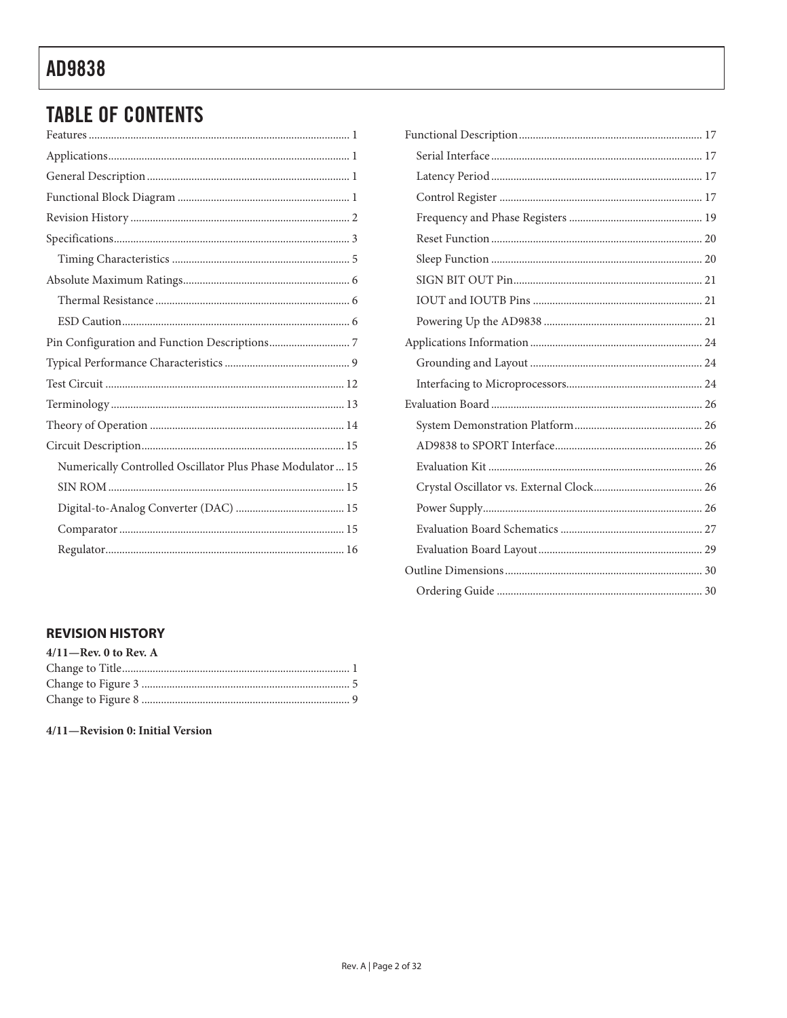## **TABLE OF CONTENTS**

### **REVISION HISTORY**

| $4/11$ -Rev. 0 to Rev. A |  |  |  |  |
|--------------------------|--|--|--|--|
|                          |  |  |  |  |
|                          |  |  |  |  |
|                          |  |  |  |  |
|                          |  |  |  |  |

#### 4/11-Revision 0: Initial Version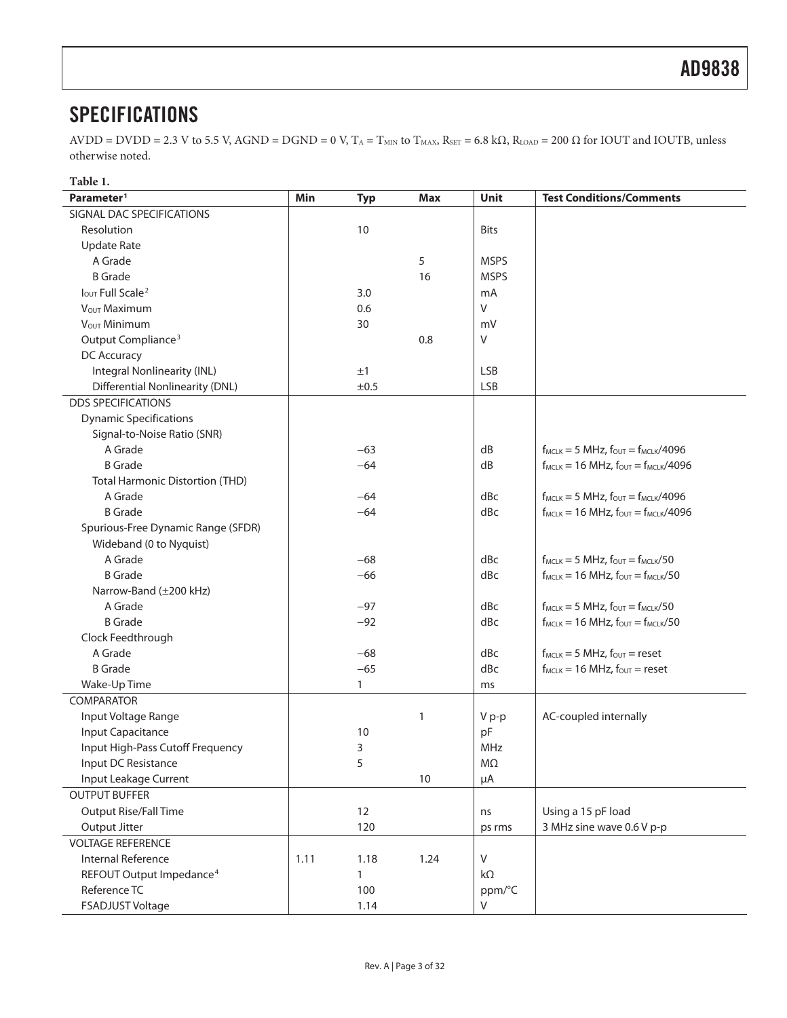## **SPECIFICATIONS**

 $AVDD = DVD = 2.3 V$  to 5.5 V,  $AGND = DGND = 0 V$ ,  $T_A = T_{MIN}$  to  $T_{MAX}$ ,  $R_{SET} = 6.8 k\Omega$ ,  $R_{LOAD} = 200 \Omega$  for IOUT and IOUTB, unless otherwise noted.

| Table 1.                               |      |              |              |             |                                                      |
|----------------------------------------|------|--------------|--------------|-------------|------------------------------------------------------|
| Parameter <sup>1</sup>                 | Min  | <b>Typ</b>   | Max          | <b>Unit</b> | <b>Test Conditions/Comments</b>                      |
| SIGNAL DAC SPECIFICATIONS              |      |              |              |             |                                                      |
| Resolution                             |      | 10           |              | <b>Bits</b> |                                                      |
| <b>Update Rate</b>                     |      |              |              |             |                                                      |
| A Grade                                |      |              | 5            | <b>MSPS</b> |                                                      |
| <b>B</b> Grade                         |      |              | 16           | <b>MSPS</b> |                                                      |
| <b>IOUT Full Scale<sup>2</sup></b>     |      | 3.0          |              | mA          |                                                      |
| VOUT Maximum                           |      | 0.6          |              | V           |                                                      |
| V <sub>OUT</sub> Minimum               |      | 30           |              | mV          |                                                      |
| Output Compliance <sup>3</sup>         |      |              | 0.8          | V           |                                                      |
| DC Accuracy                            |      |              |              |             |                                                      |
| Integral Nonlinearity (INL)            |      | ±1           |              | <b>LSB</b>  |                                                      |
| <b>Differential Nonlinearity (DNL)</b> |      | ±0.5         |              | <b>LSB</b>  |                                                      |
| <b>DDS SPECIFICATIONS</b>              |      |              |              |             |                                                      |
| <b>Dynamic Specifications</b>          |      |              |              |             |                                                      |
| Signal-to-Noise Ratio (SNR)            |      |              |              |             |                                                      |
| A Grade                                |      | $-63$        |              | dB          | $f_{MCLK} = 5 MHz$ , $f_{OUT} = f_{MCLK}/4096$       |
| <b>B</b> Grade                         |      | $-64$        |              | dB          | $f_{MCLK}$ = 16 MHz, $f_{OUT}$ = $f_{MCLK}/4096$     |
| <b>Total Harmonic Distortion (THD)</b> |      |              |              |             |                                                      |
| A Grade                                |      | $-64$        |              | dBc         | $f_{MCLK} = 5 MHz$ , $f_{OUT} = f_{MCLK}/4096$       |
| <b>B</b> Grade                         |      | $-64$        |              | dBc         | $f_{MCLK} = 16 \text{ MHz}, f_{OUT} = f_{MCLK}/4096$ |
| Spurious-Free Dynamic Range (SFDR)     |      |              |              |             |                                                      |
| Wideband (0 to Nyquist)                |      |              |              |             |                                                      |
| A Grade                                |      | $-68$        |              | dBc         | $f_{MCLK} = 5 MHz$ , $f_{OUT} = f_{MCLK}/50$         |
| <b>B</b> Grade                         |      | $-66$        |              | dBc         | $f_{MCLK} = 16 MHz$ , $f_{OUT} = f_{MCLK}/50$        |
| Narrow-Band (±200 kHz)                 |      |              |              |             |                                                      |
| A Grade                                |      | $-97$        |              | dBc         | $f_{MCLK} = 5 MHz$ , $f_{OUT} = f_{MCLK}/50$         |
| <b>B</b> Grade                         |      | $-92$        |              | dBc         | $f_{MCLK} = 16 MHz$ , $f_{OUT} = f_{MCLK}/50$        |
| Clock Feedthrough                      |      |              |              |             |                                                      |
| A Grade                                |      | $-68$        |              | dBc         | $f_{MCLK} = 5$ MHz, $f_{OUT} = reset$                |
| <b>B</b> Grade                         |      | $-65$        |              | dBc         | $f_{MCLK} = 16 MHz$ , $f_{OUT} = reset$              |
| Wake-Up Time                           |      | $\mathbf{1}$ |              | ms          |                                                      |
| <b>COMPARATOR</b>                      |      |              |              |             |                                                      |
| Input Voltage Range                    |      |              | $\mathbf{1}$ | V p-p       | AC-coupled internally                                |
| Input Capacitance                      |      | 10           |              | pF          |                                                      |
| Input High-Pass Cutoff Frequency       |      | 3            |              | MHz         |                                                      |
| Input DC Resistance                    |      | 5            |              | ΜΩ          |                                                      |
| Input Leakage Current                  |      |              | $10\,$       | $\mu A$     |                                                      |
| <b>OUTPUT BUFFER</b>                   |      |              |              |             |                                                      |
| Output Rise/Fall Time                  |      | 12           |              | ns          | Using a 15 pF load                                   |
| Output Jitter                          |      | 120          |              | ps rms      | 3 MHz sine wave 0.6 V p-p                            |
| <b>VOLTAGE REFERENCE</b>               |      |              |              |             |                                                      |
| Internal Reference                     | 1.11 | 1.18         | 1.24         | V           |                                                      |
| REFOUT Output Impedance <sup>4</sup>   |      | 1            |              | $k\Omega$   |                                                      |
| Reference TC                           |      | 100          |              | ppm/°C      |                                                      |
| FSADJUST Voltage                       |      | 1.14         |              | V           |                                                      |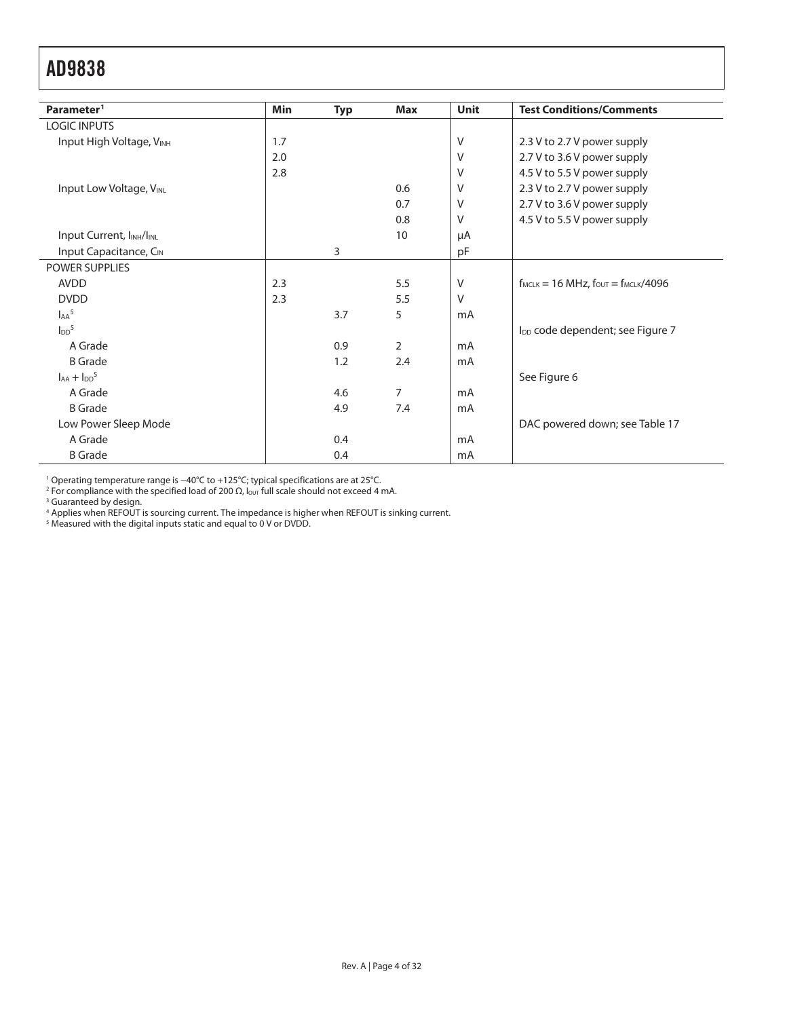| Parameter <sup>1</sup>                            | Min | <b>Typ</b> | Max            | <b>Unit</b> | <b>Test Conditions/Comments</b>                      |
|---------------------------------------------------|-----|------------|----------------|-------------|------------------------------------------------------|
| <b>LOGIC INPUTS</b>                               |     |            |                |             |                                                      |
| Input High Voltage, VINH                          | 1.7 |            |                | V           | 2.3 V to 2.7 V power supply                          |
|                                                   | 2.0 |            |                | $\vee$      | 2.7 V to 3.6 V power supply                          |
|                                                   | 2.8 |            |                | $\vee$      | 4.5 V to 5.5 V power supply                          |
| <b>Input Low Voltage, VINL</b>                    |     |            | 0.6            | $\vee$      | 2.3 V to 2.7 V power supply                          |
|                                                   |     |            | 0.7            | V           | 2.7 V to 3.6 V power supply                          |
|                                                   |     |            | 0.8            | V           | 4.5 V to 5.5 V power supply                          |
| Input Current, I <sub>INH</sub> /I <sub>INL</sub> |     |            | 10             | μA          |                                                      |
| Input Capacitance, CIN                            |     | 3          |                | pF          |                                                      |
| <b>POWER SUPPLIES</b>                             |     |            |                |             |                                                      |
| <b>AVDD</b>                                       | 2.3 |            | 5.5            | V           | $f_{MCLK} = 16 \text{ MHz}, f_{OUT} = f_{MCLK}/4096$ |
| <b>DVDD</b>                                       | 2.3 |            | 5.5            | V           |                                                      |
| $A^5$                                             |     | 3.7        | 5              | mA          |                                                      |
| $\text{I}_{\text{DD}}^5$                          |     |            |                |             | I <sub>DD</sub> code dependent; see Figure 7         |
| A Grade                                           |     | 0.9        | $\overline{2}$ | mA          |                                                      |
| <b>B</b> Grade                                    |     | 1.2        | 2.4            | mA          |                                                      |
| $I_{AA} + I_{DD}$ <sup>5</sup>                    |     |            |                |             | See Figure 6                                         |
| A Grade                                           |     | 4.6        | 7              | mA          |                                                      |
| <b>B</b> Grade                                    |     | 4.9        | 7.4            | mA          |                                                      |
| Low Power Sleep Mode                              |     |            |                |             | DAC powered down; see Table 17                       |
| A Grade                                           |     | 0.4        |                | mA          |                                                      |
| <b>B</b> Grade                                    |     | 0.4        |                | mA          |                                                      |

<sup>1</sup> Operating temperature range is –40°C to +125°C; typical specifications are at 25°C.<br><sup>2</sup> For compliance with the specified load of 200 Ω, l<sub>our</sub> full scale should not exceed 4 mA.<br><sup>3</sup> Guaranteed by design.<br><sup>4</sup> Applies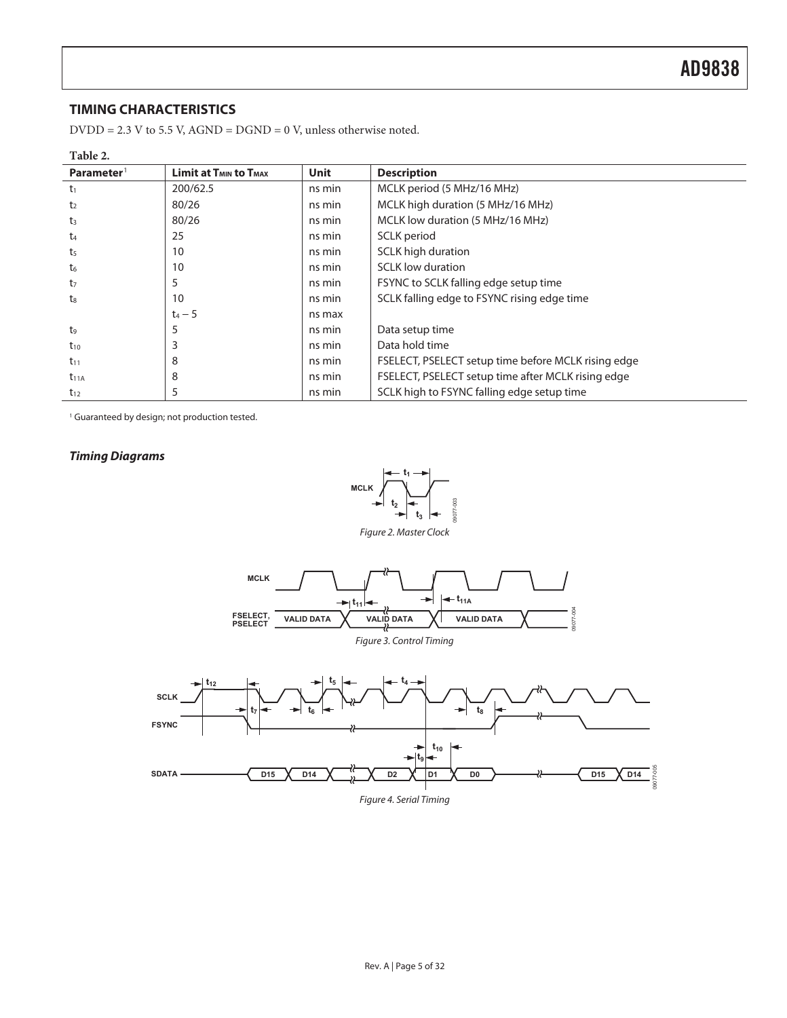### **TIMING CHARACTERISTICS**

 $\mathrm{DVDD}$  = 2.3 V to 5.5 V, AGND = DGND = 0 V, unless otherwise noted.

| Table 2.               |                                                    |             |                                                     |
|------------------------|----------------------------------------------------|-------------|-----------------------------------------------------|
| Parameter <sup>1</sup> | <b>Limit at T<sub>MIN</sub> to T<sub>MAX</sub></b> | <b>Unit</b> | <b>Description</b>                                  |
| $t_1$                  | 200/62.5                                           | ns min      | MCLK period (5 MHz/16 MHz)                          |
| t <sub>2</sub>         | 80/26                                              | ns min      | MCLK high duration (5 MHz/16 MHz)                   |
| t <sub>3</sub>         | 80/26                                              | ns min      | MCLK low duration (5 MHz/16 MHz)                    |
| t4                     | 25                                                 | ns min      | SCLK period                                         |
| t <sub>5</sub>         | 10                                                 | ns min      | <b>SCLK high duration</b>                           |
| t <sub>6</sub>         | 10                                                 | ns min      | <b>SCLK</b> low duration                            |
| t <sub>7</sub>         | 5                                                  | ns min      | FSYNC to SCLK falling edge setup time               |
| t <sub>8</sub>         | 10                                                 | ns min      | SCLK falling edge to FSYNC rising edge time         |
|                        | $t_4 - 5$                                          | ns max      |                                                     |
| t9                     | כ                                                  | ns min      | Data setup time                                     |
| $t_{10}$               | 3                                                  | ns min      | Data hold time                                      |
| $t_{11}$               | 8                                                  | ns min      | FSELECT, PSELECT setup time before MCLK rising edge |
| $t_{11A}$              | 8                                                  | ns min      | FSELECT, PSELECT setup time after MCLK rising edge  |
| $t_{12}$               | 5                                                  | ns min      | SCLK high to FSYNC falling edge setup time          |

<sup>1</sup> Guaranteed by design; not production tested.

#### **Timing Diagrams**

 $\overline{a}$ 



Figure 2. Master Clock



Figure 4. Serial Timing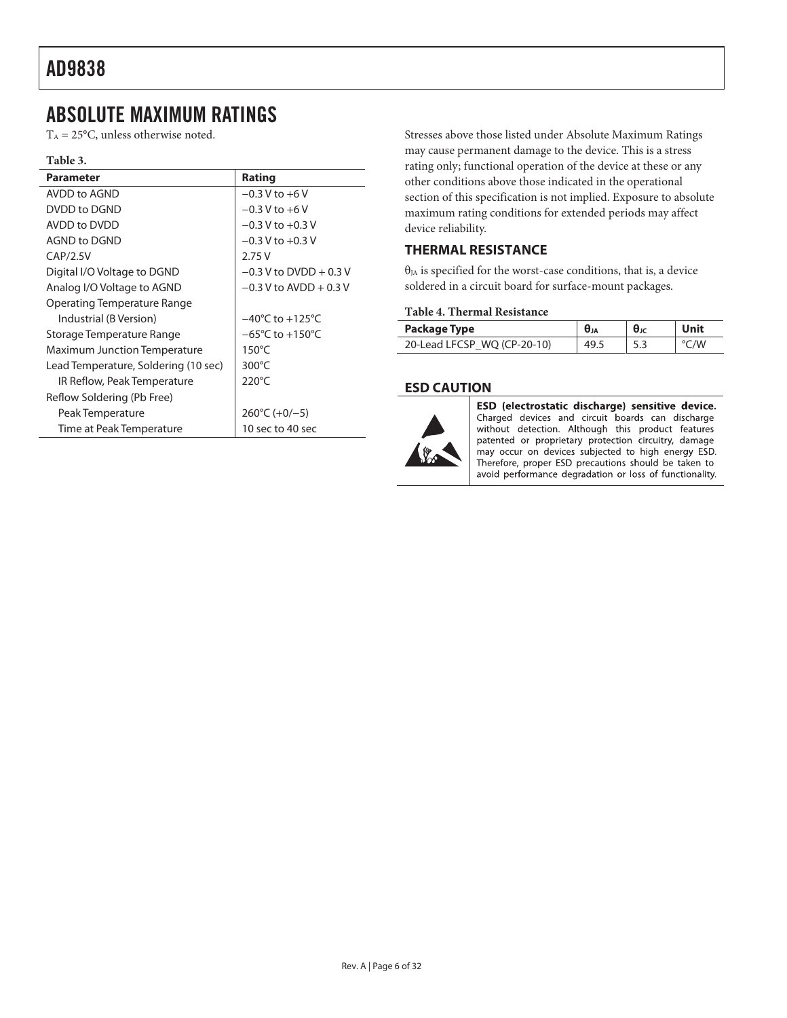## ABSOLUTE MAXIMUM RATINGS

 $T_A = 25$ °C, unless otherwise noted.

#### **Table 3.**

| Parameter                            | Rating                              |
|--------------------------------------|-------------------------------------|
| AVDD to AGND                         | $-0.3$ V to $+6$ V                  |
| DVDD to DGND                         | $-0.3 V$ to $+6 V$                  |
| AVDD to DVDD                         | $-0.3$ V to $+0.3$ V                |
| AGND to DGND                         | $-0.3$ V to $+0.3$ V                |
| CAP/2.5V                             | 2.75V                               |
| Digital I/O Voltage to DGND          | $-0.3$ V to DVDD + 0.3 V            |
| Analog I/O Voltage to AGND           | $-0.3$ V to AVDD + 0.3 V            |
| Operating Temperature Range          |                                     |
| Industrial (B Version)               | $-40^{\circ}$ C to $+125^{\circ}$ C |
| Storage Temperature Range            | $-65^{\circ}$ C to $+150^{\circ}$ C |
| <b>Maximum Junction Temperature</b>  | $150^{\circ}$ C                     |
| Lead Temperature, Soldering (10 sec) | $300^{\circ}$ C                     |
| IR Reflow, Peak Temperature          | $220^{\circ}$ C                     |
| Reflow Soldering (Pb Free)           |                                     |
| Peak Temperature                     | $260^{\circ}$ C (+0/-5)             |
| Time at Peak Temperature             | 10 sec to 40 sec                    |

Stresses above those listed under Absolute Maximum Ratings may cause permanent damage to the device. This is a stress rating only; functional operation of the device at these or any other conditions above those indicated in the operational section of this specification is not implied. Exposure to absolute maximum rating conditions for extended periods may affect device reliability.

### **THERMAL RESISTANCE**

 $\theta_{IA}$  is specified for the worst-case conditions, that is, a device soldered in a circuit board for surface-mount packages.

#### **Table 4. Thermal Resistance**

| Package Type                | Өл   | $\theta$ Jc | Unit |
|-----------------------------|------|-------------|------|
| 20-Lead LFCSP WO (CP-20-10) | 49.5 | 5.3         | /W   |

#### **ESD CAUTION**



ESD (electrostatic discharge) sensitive device. Charged devices and circuit boards can discharge without detection. Although this product features patented or proprietary protection circuitry, damage may occur on devices subjected to high energy ESD. Therefore, proper ESD precautions should be taken to avoid performance degradation or loss of functionality.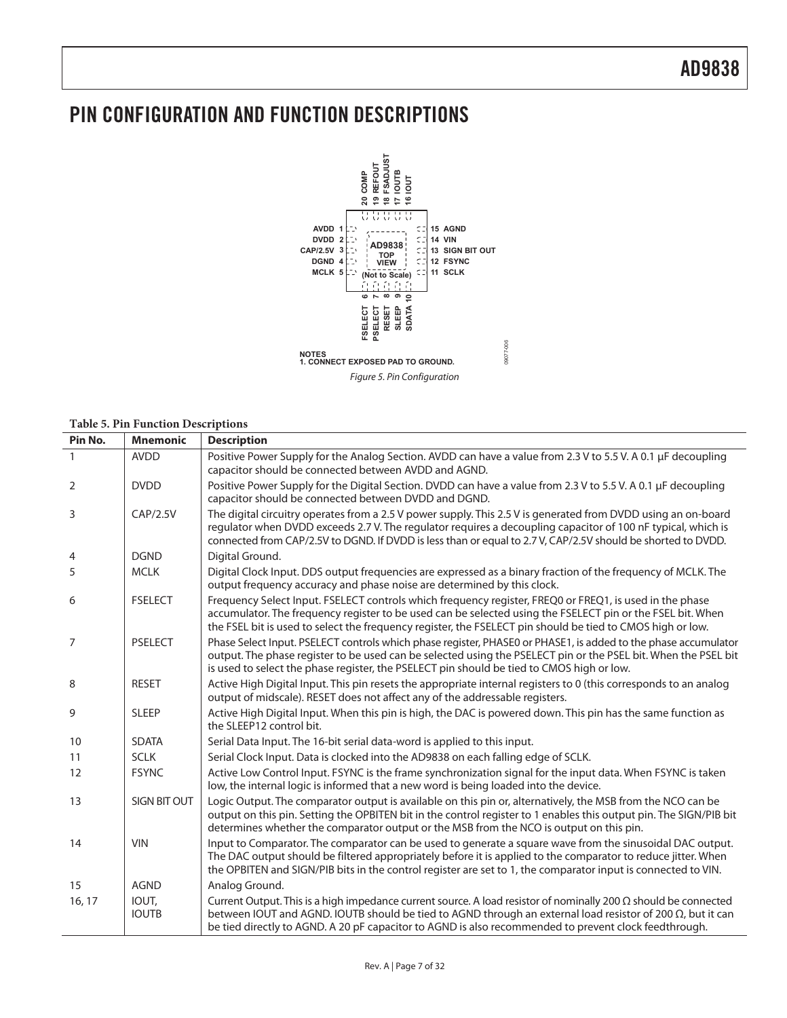## PIN CONFIGURATION AND FUNCTION DESCRIPTIONS



Figure 5. Pin Configuration

#### **Table 5. Pin Function Descriptions**

| Pin No. | <b>Mnemonic</b>       | <b>Description</b>                                                                                                                                                                                                                                                                                                                                    |
|---------|-----------------------|-------------------------------------------------------------------------------------------------------------------------------------------------------------------------------------------------------------------------------------------------------------------------------------------------------------------------------------------------------|
|         | <b>AVDD</b>           | Positive Power Supply for the Analog Section. AVDD can have a value from 2.3 V to 5.5 V. A 0.1 µF decoupling<br>capacitor should be connected between AVDD and AGND.                                                                                                                                                                                  |
| 2       | <b>DVDD</b>           | Positive Power Supply for the Digital Section. DVDD can have a value from 2.3 V to 5.5 V. A 0.1 µF decoupling<br>capacitor should be connected between DVDD and DGND.                                                                                                                                                                                 |
| 3       | CAP/2.5V              | The digital circuitry operates from a 2.5 V power supply. This 2.5 V is generated from DVDD using an on-board<br>regulator when DVDD exceeds 2.7 V. The regulator reguires a decoupling capacitor of 100 nF typical, which is<br>connected from CAP/2.5V to DGND. If DVDD is less than or equal to 2.7 V, CAP/2.5V should be shorted to DVDD.         |
| 4       | <b>DGND</b>           | Digital Ground.                                                                                                                                                                                                                                                                                                                                       |
| 5       | <b>MCLK</b>           | Digital Clock Input. DDS output frequencies are expressed as a binary fraction of the frequency of MCLK. The<br>output frequency accuracy and phase noise are determined by this clock.                                                                                                                                                               |
| 6       | <b>FSELECT</b>        | Frequency Select Input. FSELECT controls which frequency register, FREQ0 or FREQ1, is used in the phase<br>accumulator. The frequency register to be used can be selected using the FSELECT pin or the FSEL bit. When<br>the FSEL bit is used to select the frequency register, the FSELECT pin should be tied to CMOS high or low.                   |
| 7       | <b>PSELECT</b>        | Phase Select Input. PSELECT controls which phase register, PHASE0 or PHASE1, is added to the phase accumulator<br>output. The phase register to be used can be selected using the PSELECT pin or the PSEL bit. When the PSEL bit<br>is used to select the phase register, the PSELECT pin should be tied to CMOS high or low.                         |
| 8       | <b>RESET</b>          | Active High Digital Input. This pin resets the appropriate internal registers to 0 (this corresponds to an analog<br>output of midscale). RESET does not affect any of the addressable registers.                                                                                                                                                     |
| 9       | <b>SLEEP</b>          | Active High Digital Input. When this pin is high, the DAC is powered down. This pin has the same function as<br>the SLEEP12 control bit.                                                                                                                                                                                                              |
| 10      | <b>SDATA</b>          | Serial Data Input. The 16-bit serial data-word is applied to this input.                                                                                                                                                                                                                                                                              |
| 11      | <b>SCLK</b>           | Serial Clock Input. Data is clocked into the AD9838 on each falling edge of SCLK.                                                                                                                                                                                                                                                                     |
| 12      | <b>FSYNC</b>          | Active Low Control Input. FSYNC is the frame synchronization signal for the input data. When FSYNC is taken<br>low, the internal logic is informed that a new word is being loaded into the device.                                                                                                                                                   |
| 13      | <b>SIGN BIT OUT</b>   | Logic Output. The comparator output is available on this pin or, alternatively, the MSB from the NCO can be<br>output on this pin. Setting the OPBITEN bit in the control register to 1 enables this output pin. The SIGN/PIB bit<br>determines whether the comparator output or the MSB from the NCO is output on this pin.                          |
| 14      | <b>VIN</b>            | Input to Comparator. The comparator can be used to generate a square wave from the sinusoidal DAC output.<br>The DAC output should be filtered appropriately before it is applied to the comparator to reduce jitter. When<br>the OPBITEN and SIGN/PIB bits in the control register are set to 1, the comparator input is connected to VIN.           |
| 15      | <b>AGND</b>           | Analog Ground.                                                                                                                                                                                                                                                                                                                                        |
| 16, 17  | IOUT,<br><b>IOUTB</b> | Current Output. This is a high impedance current source. A load resistor of nominally 200 $\Omega$ should be connected<br>between IOUT and AGND. IOUTB should be tied to AGND through an external load resistor of 200 $\Omega$ , but it can<br>be tied directly to AGND. A 20 pF capacitor to AGND is also recommended to prevent clock feedthrough. |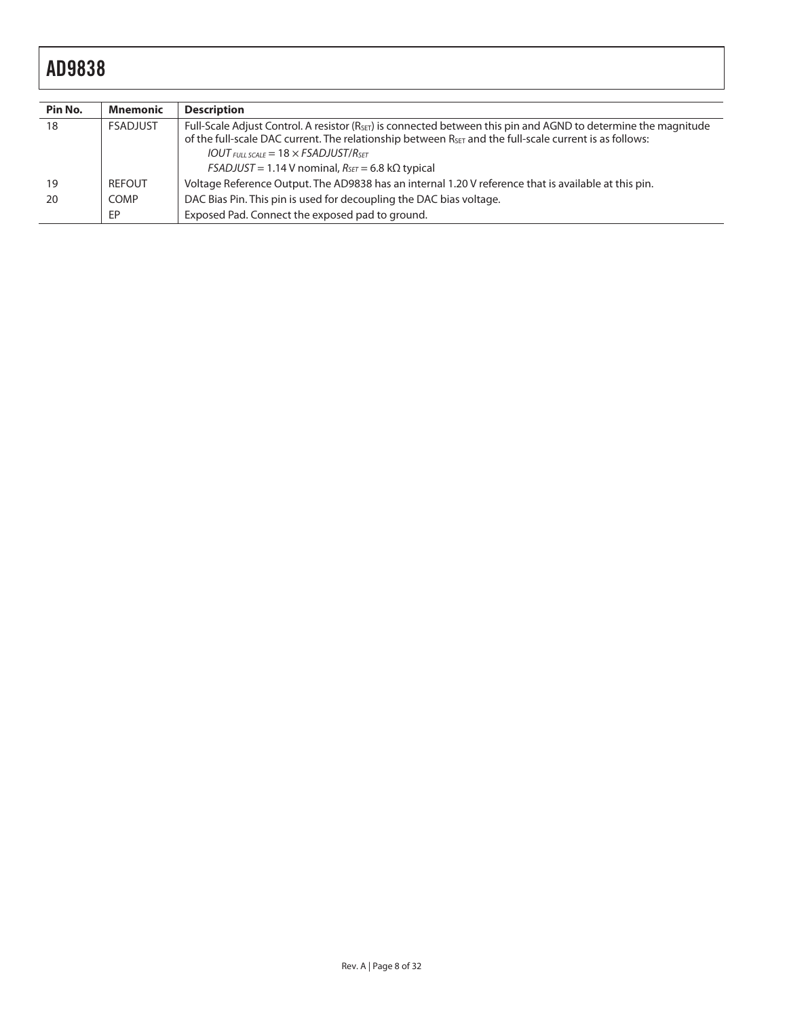| Pin No. | <b>Mnemonic</b> | <b>Description</b>                                                                                                                                                                                                                                                                                              |
|---------|-----------------|-----------------------------------------------------------------------------------------------------------------------------------------------------------------------------------------------------------------------------------------------------------------------------------------------------------------|
| 18      | <b>FSADJUST</b> | Full-Scale Adjust Control. A resistor ( $R_{\text{SET}}$ ) is connected between this pin and AGND to determine the magnitude<br>of the full-scale DAC current. The relationship between R <sub>SET</sub> and the full-scale current is as follows:<br>$IOUT$ FULL SCALE = 18 $\times$ FSADJUST/R <sub>SET</sub> |
|         |                 | $FSADJUST = 1.14 V$ nominal, $R_{SET} = 6.8 k\Omega$ typical                                                                                                                                                                                                                                                    |
| 19      | <b>REFOUT</b>   | Voltage Reference Output. The AD9838 has an internal 1.20 V reference that is available at this pin.                                                                                                                                                                                                            |
| 20      | <b>COMP</b>     | DAC Bias Pin. This pin is used for decoupling the DAC bias voltage.                                                                                                                                                                                                                                             |
|         | EP              | Exposed Pad. Connect the exposed pad to ground.                                                                                                                                                                                                                                                                 |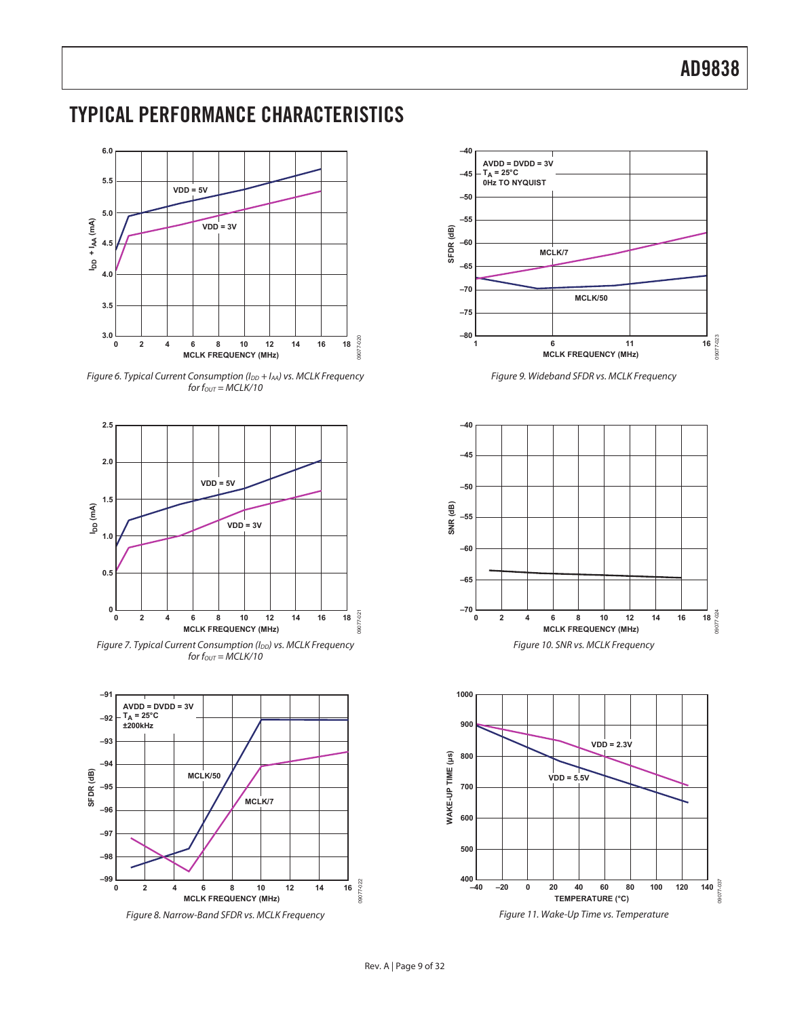## TYPICAL PERFORMANCE CHARACTERISTICS



Figure 6. Typical Current Consumption (I<sub>DD</sub> + I<sub>AA</sub>) vs. MCLK Frequency for  $f_{OUT} = MCLK/10$ 



Figure 7. Typical Current Consumption (I<sub>DD</sub>) vs. MCLK Frequency for  $f_{OUT} = MCLK/10$ 



Figure 8. Narrow-Band SFDR vs. MCLK Frequency



Figure 9. Wideband SFDR vs. MCLK Frequency





Figure 11. Wake-Up Time vs. Temperature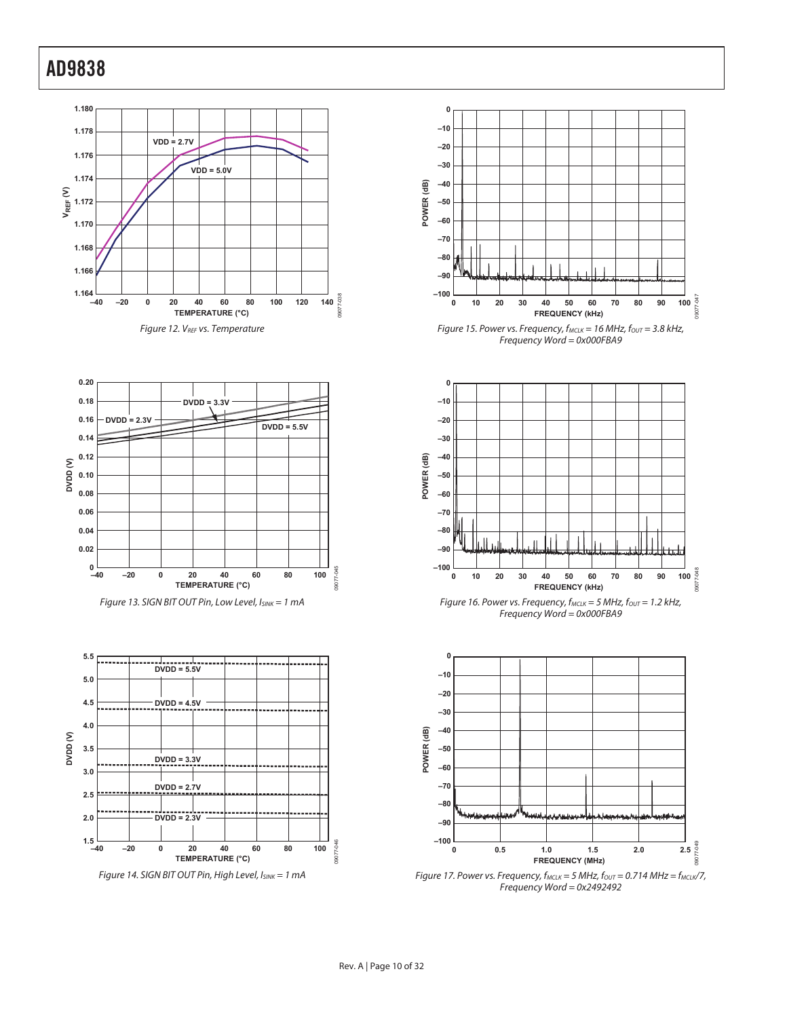



Figure 13. SIGN BIT OUT Pin, Low Level, ISINK = 1 mA



Figure 14. SIGN BIT OUT Pin, High Level, ISINK = 1 mA



Figure 15. Power vs. Frequency,  $f_{MCLK} = 16$  MHz,  $f_{OUT} = 3.8$  kHz, Frequency Word = 0x000FBA9



Figure 16. Power vs. Frequency,  $f_{MCLK} = 5$  MHz,  $f_{OUT} = 1.2$  kHz, Frequency Word = 0x000FBA9



Figure 17. Power vs. Frequency,  $f_{MCLK} = 5$  MHz,  $f_{OUT} = 0.714$  MHz =  $f_{MCLK}/7$ , Frequency Word = 0x2492492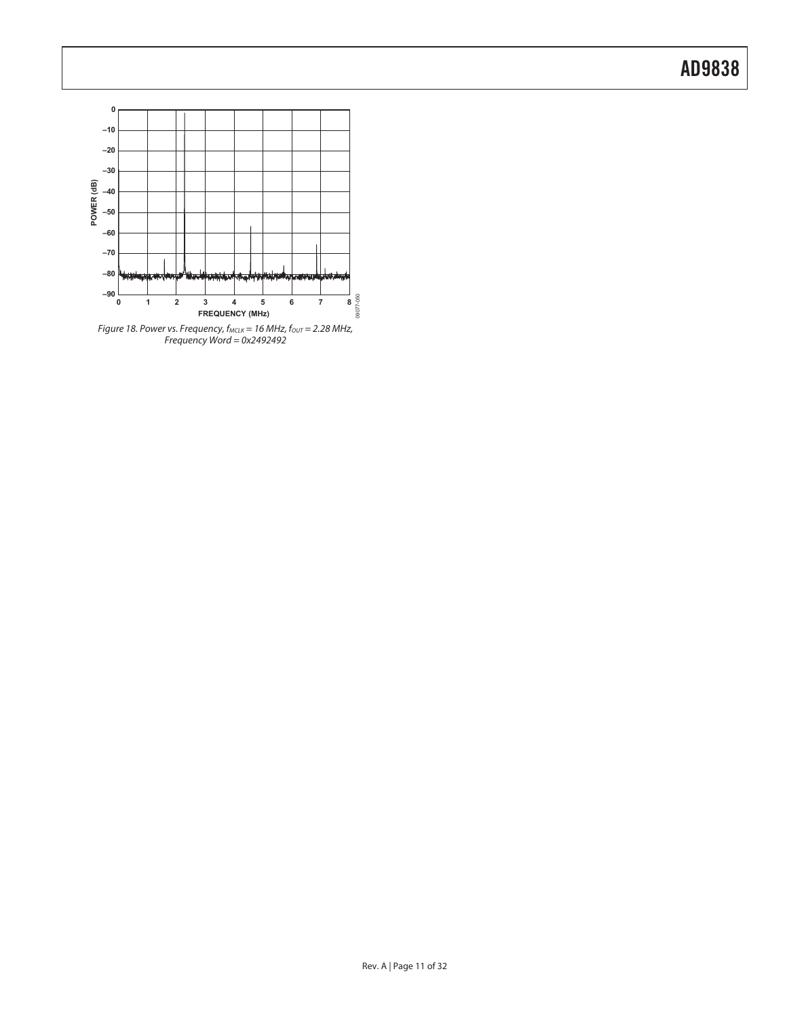

Figure 18. Power vs. Frequency,  $f_{MCLK} = 16$  MHz,  $f_{OUT} = 2.28$  MHz, Frequency Word = 0x2492492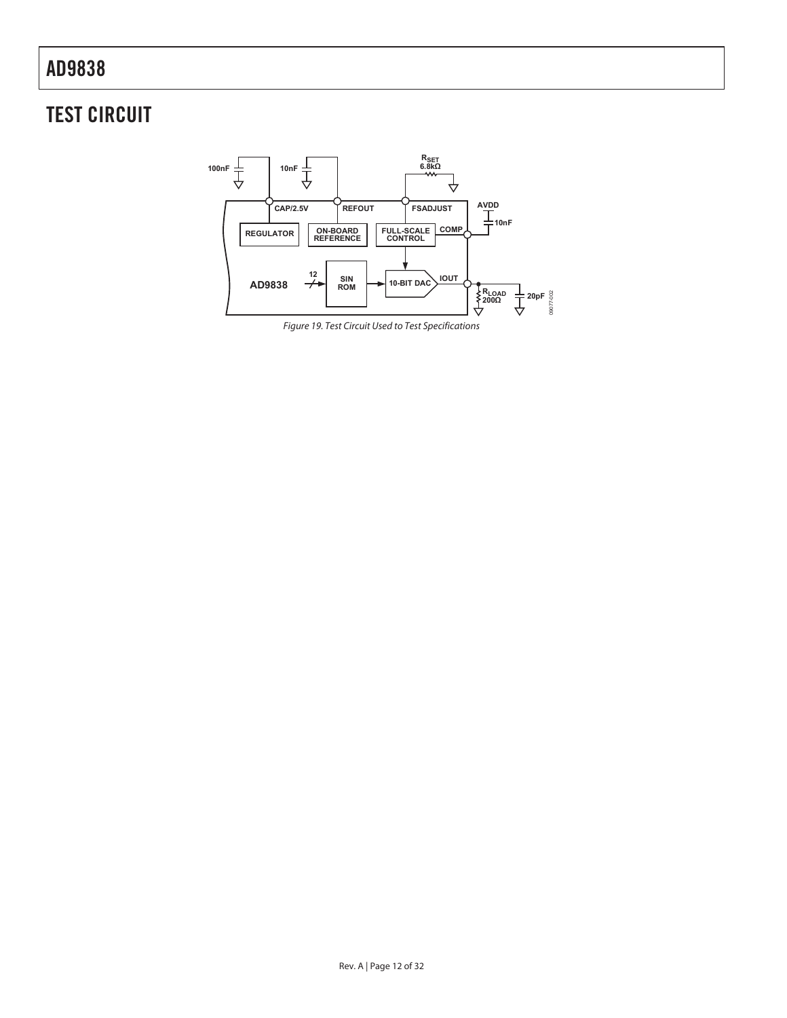## TEST CIRCUIT



Figure 19. Test Circuit Used to Test Specifications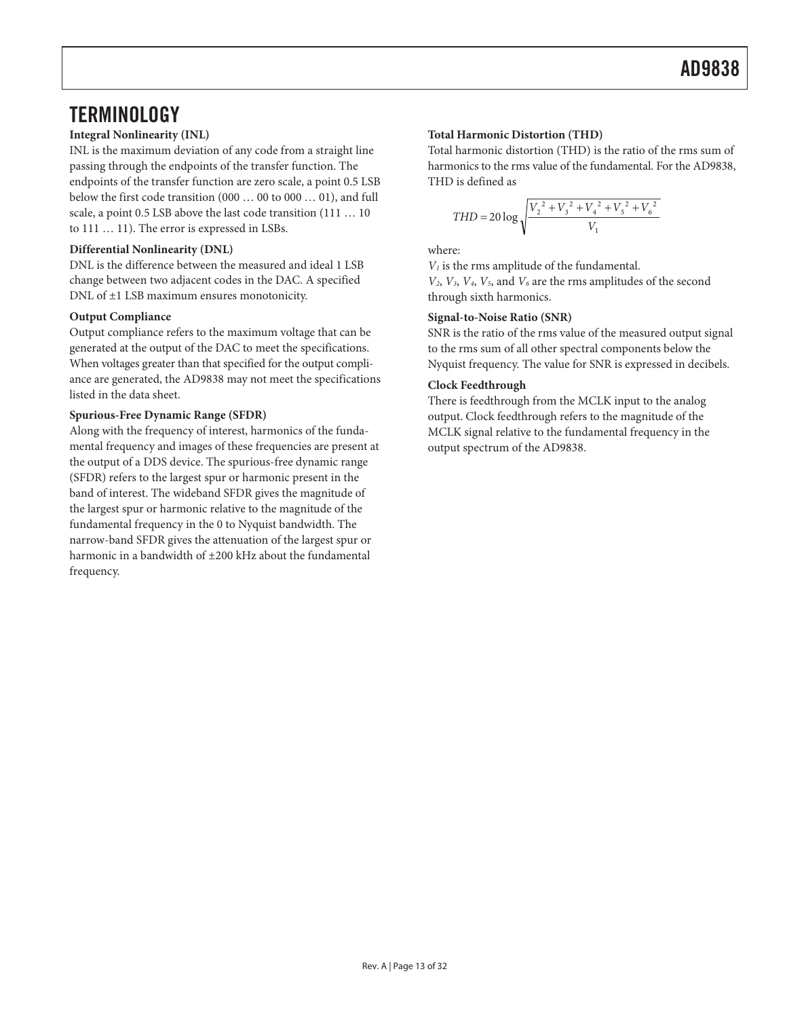## **TERMINOLOGY**

INL is the maximum deviation of any code from a straight line passing through the endpoints of the transfer function. The endpoints of the transfer function are zero scale, a point 0.5 LSB below the first code transition (000 … 00 to 000 … 01), and full scale, a point 0.5 LSB above the last code transition (111 … 10 to 111 … 11). The error is expressed in LSBs.

#### **Differential Nonlinearity (DNL)** where:

DNL is the difference between the measured and ideal 1 LSB change between two adjacent codes in the DAC. A specified DNL of ±1 LSB maximum ensures monotonicity.

Output compliance refers to the maximum voltage that can be generated at the output of the DAC to meet the specifications. When voltages greater than that specified for the output compliance are generated, the AD9838 may not meet the specifications listed in the data sheet.

#### **Spurious-Free Dynamic Range (SFDR)**

Along with the frequency of interest, harmonics of the fundamental frequency and images of these frequencies are present at the output of a DDS device. The spurious-free dynamic range (SFDR) refers to the largest spur or harmonic present in the band of interest. The wideband SFDR gives the magnitude of the largest spur or harmonic relative to the magnitude of the fundamental frequency in the 0 to Nyquist bandwidth. The narrow-band SFDR gives the attenuation of the largest spur or harmonic in a bandwidth of ±200 kHz about the fundamental frequency.

#### **Integral Nonlinearity (INL) Total Harmonic Distortion (THD)**

Total harmonic distortion (THD) is the ratio of the rms sum of harmonics to the rms value of the fundamental. For the AD9838, THD is defined as

$$
THD = 20 \log \sqrt{\frac{V_2^2 + V_3^2 + V_4^2 + V_5^2 + V_6^2}{V_1}}
$$

 $V_1$  is the rms amplitude of the fundamental.  $V_2$ ,  $V_3$ ,  $V_4$ ,  $V_5$ , and  $V_6$  are the rms amplitudes of the second through sixth harmonics.

#### **Output Compliance Signal-to-Noise Ratio (SNR)**

SNR is the ratio of the rms value of the measured output signal to the rms sum of all other spectral components below the Nyquist frequency. The value for SNR is expressed in decibels.

#### **Clock Feedthrough**

There is feedthrough from the MCLK input to the analog output. Clock feedthrough refers to the magnitude of the MCLK signal relative to the fundamental frequency in the output spectrum of the AD9838.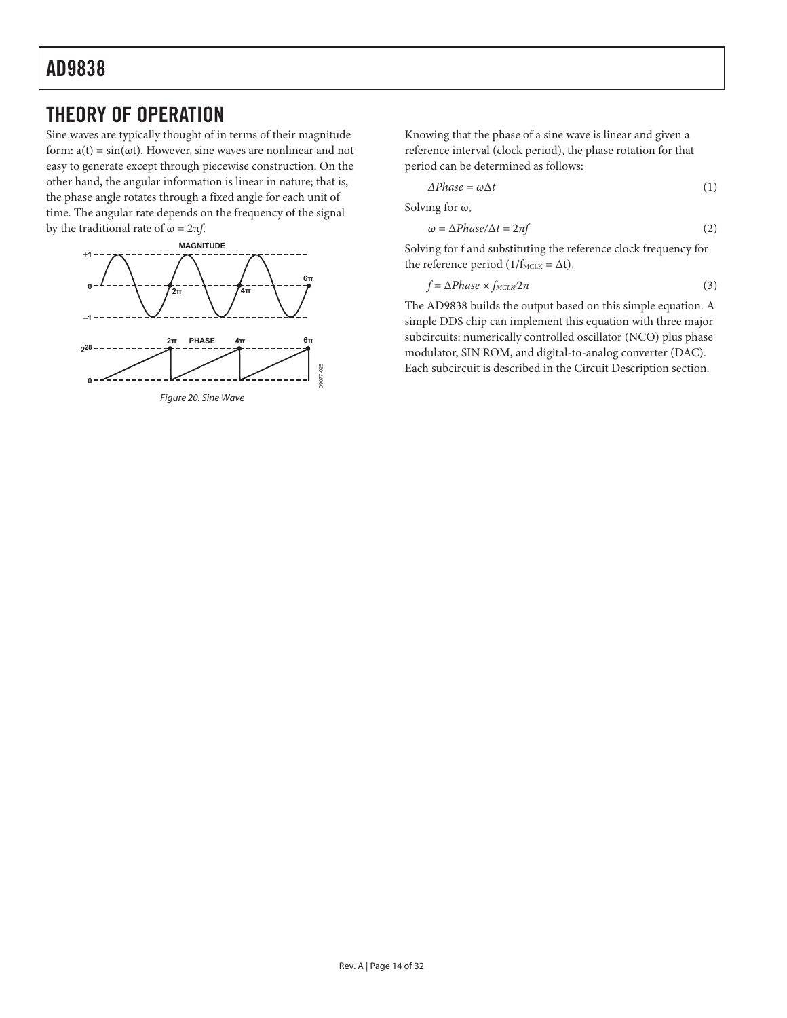## THEORY OF OPERATION

Sine waves are typically thought of in terms of their magnitude form:  $a(t) = \sin(\omega t)$ . However, sine waves are nonlinear and not easy to generate except through piecewise construction. On the other hand, the angular information is linear in nature; that is, the phase angle rotates through a fixed angle for each unit of time. The angular rate depends on the frequency of the signal by the traditional rate of  $\omega = 2\pi f$ .



Knowing that the phase of a sine wave is linear and given a reference interval (clock period), the phase rotation for that period can be determined as follows:

$$
\Delta Phase = \omega \Delta t \tag{1}
$$

Solving for  $\omega$ ,

$$
\omega = \Delta Phase/\Delta t = 2\pi f \tag{2}
$$

Solving for f and substituting the reference clock frequency for the reference period ( $1/f_{\text{MCLK}} = \Delta t$ ),

$$
f = \Delta Phase \times f_{MCLK} 2\pi \tag{3}
$$

The AD9838 builds the output based on this simple equation. A simple DDS chip can implement this equation with three major subcircuits: numerically controlled oscillator (NCO) plus phase modulator, SIN ROM, and digital-to-analog converter (DAC). Each subcircuit is described in the Circuit Description section.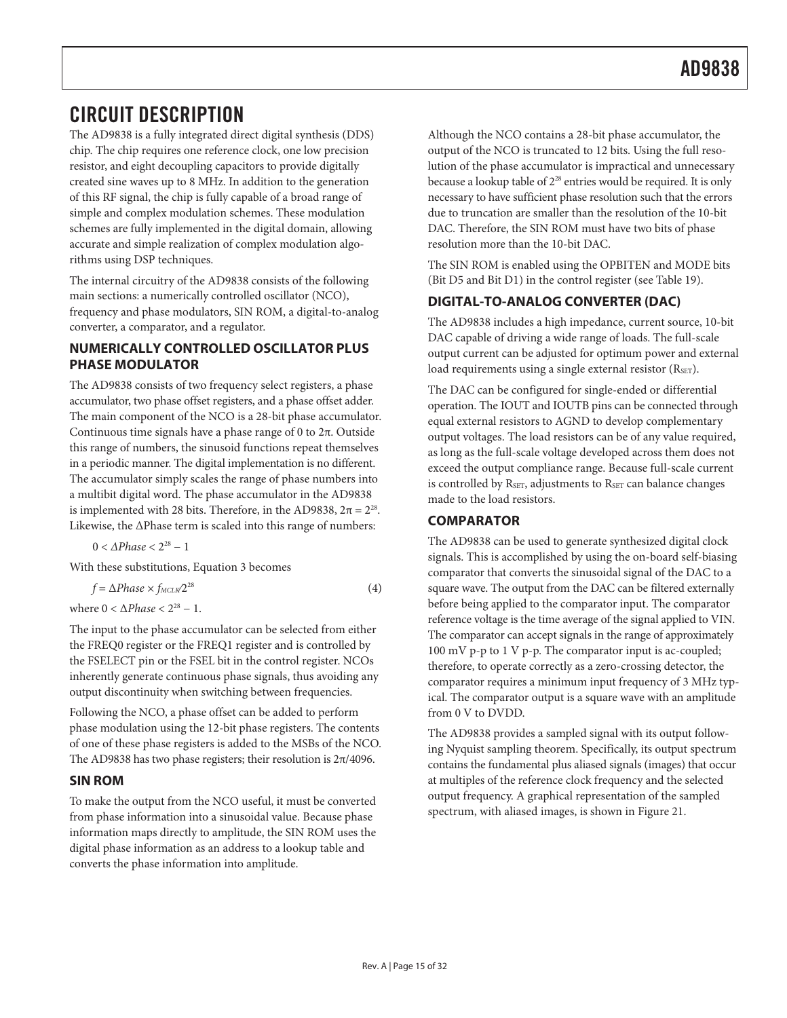## CIRCUIT DESCRIPTION

The AD9838 is a fully integrated direct digital synthesis (DDS) chip. The chip requires one reference clock, one low precision resistor, and eight decoupling capacitors to provide digitally created sine waves up to 8 MHz. In addition to the generation of this RF signal, the chip is fully capable of a broad range of simple and complex modulation schemes. These modulation schemes are fully implemented in the digital domain, allowing accurate and simple realization of complex modulation algorithms using DSP techniques.

The internal circuitry of the AD9838 consists of the following main sections: a numerically controlled oscillator (NCO), frequency and phase modulators, SIN ROM, a digital-to-analog converter, a comparator, and a regulator.

#### **NUMERICALLY CONTROLLED OSCILLATOR PLUS PHASE MODULATOR**

The AD9838 consists of two frequency select registers, a phase accumulator, two phase offset registers, and a phase offset adder. The main component of the NCO is a 28-bit phase accumulator. Continuous time signals have a phase range of 0 to  $2\pi$ . Outside this range of numbers, the sinusoid functions repeat themselves in a periodic manner. The digital implementation is no different. The accumulator simply scales the range of phase numbers into a multibit digital word. The phase accumulator in the AD9838 is implemented with 28 bits. Therefore, in the AD9838,  $2\pi = 2^{28}$ . Likewise, the ΔPhase term is scaled into this range of numbers:

 $0 < \Delta Phase < 2^{28} - 1$ 

With these substitutions, Equation 3 becomes

$$
f = \Delta Phase \times f_{MCLK} 2^{28} \tag{4}
$$

where  $0 < \Delta Phase < 2^{28} - 1$ .

The input to the phase accumulator can be selected from either the FREQ0 register or the FREQ1 register and is controlled by the FSELECT pin or the FSEL bit in the control register. NCOs inherently generate continuous phase signals, thus avoiding any output discontinuity when switching between frequencies.

Following the NCO, a phase offset can be added to perform phase modulation using the 12-bit phase registers. The contents of one of these phase registers is added to the MSBs of the NCO. The AD9838 has two phase registers; their resolution is  $2\pi/4096$ .

### **SIN ROM**

To make the output from the NCO useful, it must be converted from phase information into a sinusoidal value. Because phase information maps directly to amplitude, the SIN ROM uses the digital phase information as an address to a lookup table and converts the phase information into amplitude.

Although the NCO contains a 28-bit phase accumulator, the output of the NCO is truncated to 12 bits. Using the full resolution of the phase accumulator is impractical and unnecessary because a lookup table of 2<sup>28</sup> entries would be required. It is only necessary to have sufficient phase resolution such that the errors due to truncation are smaller than the resolution of the 10-bit DAC. Therefore, the SIN ROM must have two bits of phase resolution more than the 10-bit DAC.

The SIN ROM is enabled using the OPBITEN and MODE bits (Bit D5 and Bit D1) in the control register (see Table 19).

### **DIGITAL-TO-ANALOG CONVERTER (DAC)**

The AD9838 includes a high impedance, current source, 10-bit DAC capable of driving a wide range of loads. The full-scale output current can be adjusted for optimum power and external load requirements using a single external resistor  $(R<sub>SET</sub>)$ .

The DAC can be configured for single-ended or differential operation. The IOUT and IOUTB pins can be connected through equal external resistors to AGND to develop complementary output voltages. The load resistors can be of any value required, as long as the full-scale voltage developed across them does not exceed the output compliance range. Because full-scale current is controlled by RSET, adjustments to RSET can balance changes made to the load resistors.

### **COMPARATOR**

The AD9838 can be used to generate synthesized digital clock signals. This is accomplished by using the on-board self-biasing comparator that converts the sinusoidal signal of the DAC to a square wave. The output from the DAC can be filtered externally before being applied to the comparator input. The comparator reference voltage is the time average of the signal applied to VIN. The comparator can accept signals in the range of approximately 100 mV p-p to 1 V p-p. The comparator input is ac-coupled; therefore, to operate correctly as a zero-crossing detector, the comparator requires a minimum input frequency of 3 MHz typical. The comparator output is a square wave with an amplitude from 0 V to DVDD.

The AD9838 provides a sampled signal with its output following Nyquist sampling theorem. Specifically, its output spectrum contains the fundamental plus aliased signals (images) that occur at multiples of the reference clock frequency and the selected output frequency. A graphical representation of the sampled spectrum, with aliased images, is shown in Figure 21.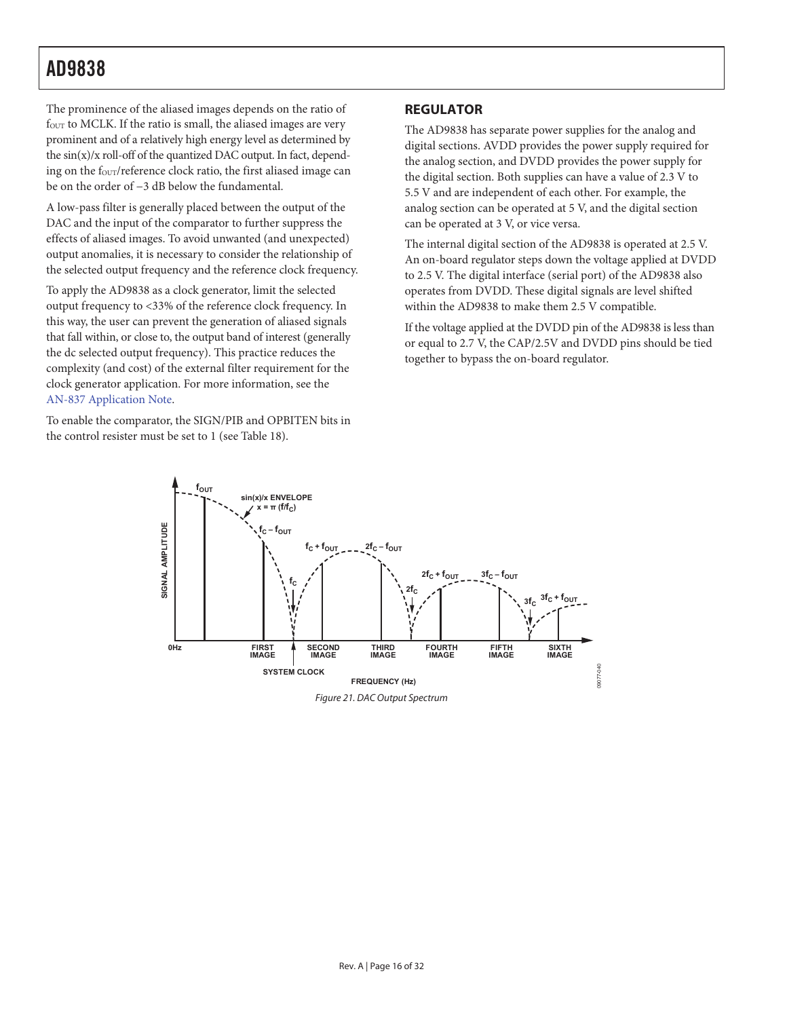The prominence of the aliased images depends on the ratio of four to MCLK. If the ratio is small, the aliased images are very prominent and of a relatively high energy level as determined by the  $\sin(x)/x$  roll-off of the quantized DAC output. In fact, depending on the four/reference clock ratio, the first aliased image can be on the order of −3 dB below the fundamental.

A low-pass filter is generally placed between the output of the DAC and the input of the comparator to further suppress the effects of aliased images. To avoid unwanted (and unexpected) output anomalies, it is necessary to consider the relationship of the selected output frequency and the reference clock frequency.

To apply the AD9838 as a clock generator, limit the selected output frequency to <33% of the reference clock frequency. In this way, the user can prevent the generation of aliased signals that fall within, or close to, the output band of interest (generally the dc selected output frequency). This practice reduces the complexity (and cost) of the external filter requirement for the clock generator application. For more information, see the AN-837 Application Note.

To enable the comparator, the SIGN/PIB and OPBITEN bits in the control resister must be set to 1 (see Table 18).

### **REGULATOR**

The AD9838 has separate power supplies for the analog and digital sections. AVDD provides the power supply required for the analog section, and DVDD provides the power supply for the digital section. Both supplies can have a value of 2.3 V to 5.5 V and are independent of each other. For example, the analog section can be operated at 5 V, and the digital section can be operated at 3 V, or vice versa.

The internal digital section of the AD9838 is operated at 2.5 V. An on-board regulator steps down the voltage applied at DVDD to 2.5 V. The digital interface (serial port) of the AD9838 also operates from DVDD. These digital signals are level shifted within the AD9838 to make them 2.5 V compatible.

If the voltage applied at the DVDD pin of the AD9838 is less than or equal to 2.7 V, the CAP/2.5V and DVDD pins should be tied together to bypass the on-board regulator.



Figure 21. DAC Output Spectrum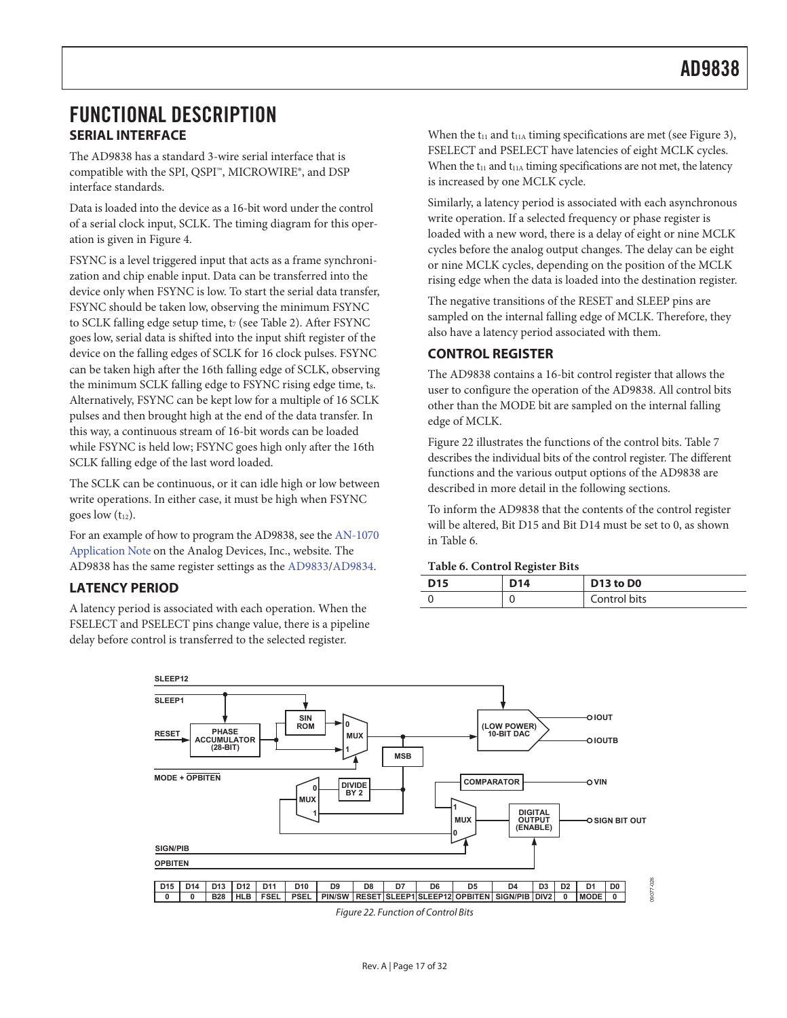## FUNCTIONAL DESCRIPTION **SERIAL INTERFACE**

The AD9838 has a standard 3-wire serial interface that is compatible with the SPI, QSPI™, MICROWIRE®, and DSP interface standards.

Data is loaded into the device as a 16-bit word under the control of a serial clock input, SCLK. The timing diagram for this operation is given in Figure 4.

FSYNC is a level triggered input that acts as a frame synchronization and chip enable input. Data can be transferred into the device only when FSYNC is low. To start the serial data transfer, FSYNC should be taken low, observing the minimum FSYNC to SCLK falling edge setup time, t<sub>7</sub> (see Table 2). After FSYNC goes low, serial data is shifted into the input shift register of the device on the falling edges of SCLK for 16 clock pulses. FSYNC can be taken high after the 16th falling edge of SCLK, observing the minimum SCLK falling edge to FSYNC rising edge time, ts. Alternatively, FSYNC can be kept low for a multiple of 16 SCLK pulses and then brought high at the end of the data transfer. In this way, a continuous stream of 16-bit words can be loaded while FSYNC is held low; FSYNC goes high only after the 16th SCLK falling edge of the last word loaded.

The SCLK can be continuous, or it can idle high or low between write operations. In either case, it must be high when FSYNC goes low  $(t_{12})$ .

For an example of how to program the AD9838, see the AN-1070 Application Note on the Analog Devices, Inc., website. The AD9838 has the same register settings as the AD9833/AD9834.

### **LATENCY PERIOD**

A latency period is associated with each operation. When the FSELECT and PSELECT pins change value, there is a pipeline delay before control is transferred to the selected register.

When the  $t_{11}$  and  $t_{11A}$  timing specifications are met (see Figure 3), FSELECT and PSELECT have latencies of eight MCLK cycles. When the  $t_{11}$  and  $t_{11A}$  timing specifications are not met, the latency is increased by one MCLK cycle.

Similarly, a latency period is associated with each asynchronous write operation. If a selected frequency or phase register is loaded with a new word, there is a delay of eight or nine MCLK cycles before the analog output changes. The delay can be eight or nine MCLK cycles, depending on the position of the MCLK rising edge when the data is loaded into the destination register.

The negative transitions of the RESET and SLEEP pins are sampled on the internal falling edge of MCLK. Therefore, they also have a latency period associated with them.

### **CONTROL REGISTER**

The AD9838 contains a 16-bit control register that allows the user to configure the operation of the AD9838. All control bits other than the MODE bit are sampled on the internal falling edge of MCLK.

Figure 22 illustrates the functions of the control bits. Table 7 describes the individual bits of the control register. The different functions and the various output options of the AD9838 are described in more detail in the following sections.

To inform the AD9838 that the contents of the control register will be altered, Bit D15 and Bit D14 must be set to 0, as shown in Table 6.

#### **Table 6. Control Register Bits**

| <b>D15</b> | D <sub>14</sub> | D13 to D0    |
|------------|-----------------|--------------|
|            |                 | Control bits |



Figure 22. Function of Control Bits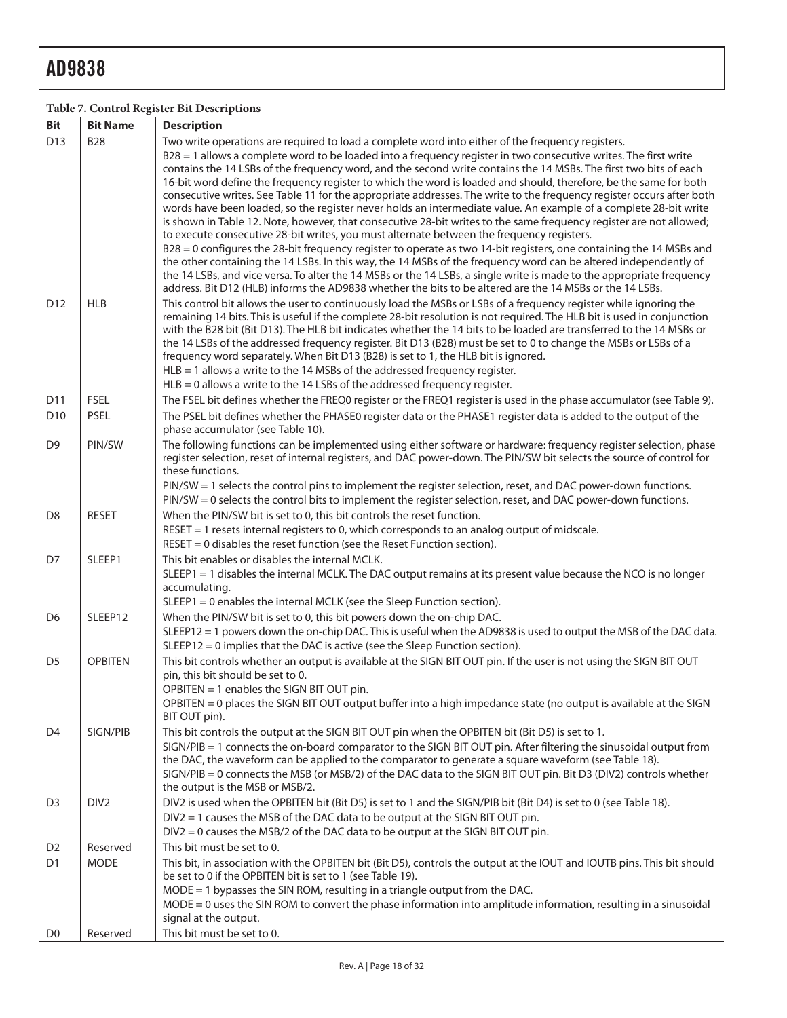### **Table 7. Control Register Bit Descriptions**

| <b>Bit</b>      | <b>Bit Name</b>  | <b>Description</b>                                                                                                                                                                                                                                                                                                                                                                                                                                                                                                                                                                                                                                                                                           |
|-----------------|------------------|--------------------------------------------------------------------------------------------------------------------------------------------------------------------------------------------------------------------------------------------------------------------------------------------------------------------------------------------------------------------------------------------------------------------------------------------------------------------------------------------------------------------------------------------------------------------------------------------------------------------------------------------------------------------------------------------------------------|
| D13             | <b>B28</b>       | Two write operations are required to load a complete word into either of the frequency registers.<br>B28 = 1 allows a complete word to be loaded into a frequency register in two consecutive writes. The first write<br>contains the 14 LSBs of the frequency word, and the second write contains the 14 MSBs. The first two bits of each<br>16-bit word define the frequency register to which the word is loaded and should, therefore, be the same for both<br>consecutive writes. See Table 11 for the appropriate addresses. The write to the frequency register occurs after both<br>words have been loaded, so the register never holds an intermediate value. An example of a complete 28-bit write |
|                 |                  | is shown in Table 12. Note, however, that consecutive 28-bit writes to the same frequency register are not allowed;<br>to execute consecutive 28-bit writes, you must alternate between the frequency registers.<br>B28 = 0 configures the 28-bit frequency register to operate as two 14-bit registers, one containing the 14 MSBs and                                                                                                                                                                                                                                                                                                                                                                      |
|                 |                  | the other containing the 14 LSBs. In this way, the 14 MSBs of the frequency word can be altered independently of<br>the 14 LSBs, and vice versa. To alter the 14 MSBs or the 14 LSBs, a single write is made to the appropriate frequency<br>address. Bit D12 (HLB) informs the AD9838 whether the bits to be altered are the 14 MSBs or the 14 LSBs.                                                                                                                                                                                                                                                                                                                                                        |
| D <sub>12</sub> | <b>HLB</b>       | This control bit allows the user to continuously load the MSBs or LSBs of a frequency register while ignoring the<br>remaining 14 bits. This is useful if the complete 28-bit resolution is not required. The HLB bit is used in conjunction<br>with the B28 bit (Bit D13). The HLB bit indicates whether the 14 bits to be loaded are transferred to the 14 MSBs or<br>the 14 LSBs of the addressed frequency register. Bit D13 (B28) must be set to 0 to change the MSBs or LSBs of a<br>frequency word separately. When Bit D13 (B28) is set to 1, the HLB bit is ignored.                                                                                                                                |
|                 |                  | $HLB = 1$ allows a write to the 14 MSBs of the addressed frequency register.                                                                                                                                                                                                                                                                                                                                                                                                                                                                                                                                                                                                                                 |
|                 |                  | $HLB = 0$ allows a write to the 14 LSBs of the addressed frequency register.                                                                                                                                                                                                                                                                                                                                                                                                                                                                                                                                                                                                                                 |
| D11             | <b>FSEL</b>      | The FSEL bit defines whether the FREQ0 register or the FREQ1 register is used in the phase accumulator (see Table 9).                                                                                                                                                                                                                                                                                                                                                                                                                                                                                                                                                                                        |
| D <sub>10</sub> | <b>PSEL</b>      | The PSEL bit defines whether the PHASE0 register data or the PHASE1 register data is added to the output of the<br>phase accumulator (see Table 10).                                                                                                                                                                                                                                                                                                                                                                                                                                                                                                                                                         |
| D <sub>9</sub>  | PIN/SW           | The following functions can be implemented using either software or hardware: frequency register selection, phase<br>register selection, reset of internal registers, and DAC power-down. The PIN/SW bit selects the source of control for<br>these functions.                                                                                                                                                                                                                                                                                                                                                                                                                                               |
|                 |                  | PIN/SW = 1 selects the control pins to implement the register selection, reset, and DAC power-down functions.<br>PIN/SW = 0 selects the control bits to implement the register selection, reset, and DAC power-down functions.                                                                                                                                                                                                                                                                                                                                                                                                                                                                               |
| D <sub>8</sub>  | <b>RESET</b>     | When the PIN/SW bit is set to 0, this bit controls the reset function.                                                                                                                                                                                                                                                                                                                                                                                                                                                                                                                                                                                                                                       |
|                 |                  | RESET = 1 resets internal registers to 0, which corresponds to an analog output of midscale.<br>$REST = 0$ disables the reset function (see the Reset Function section).                                                                                                                                                                                                                                                                                                                                                                                                                                                                                                                                     |
| D7              | SLEEP1           | This bit enables or disables the internal MCLK.                                                                                                                                                                                                                                                                                                                                                                                                                                                                                                                                                                                                                                                              |
|                 |                  | SLEEP1 = 1 disables the internal MCLK. The DAC output remains at its present value because the NCO is no longer<br>accumulating.                                                                                                                                                                                                                                                                                                                                                                                                                                                                                                                                                                             |
|                 |                  | SLEEP1 = 0 enables the internal MCLK (see the Sleep Function section).                                                                                                                                                                                                                                                                                                                                                                                                                                                                                                                                                                                                                                       |
| D <sub>6</sub>  | SLEEP12          | When the PIN/SW bit is set to 0, this bit powers down the on-chip DAC.                                                                                                                                                                                                                                                                                                                                                                                                                                                                                                                                                                                                                                       |
|                 |                  | SLEEP12 = 1 powers down the on-chip DAC. This is useful when the AD9838 is used to output the MSB of the DAC data.<br>$SLEEP12 = 0$ implies that the DAC is active (see the Sleep Function section).                                                                                                                                                                                                                                                                                                                                                                                                                                                                                                         |
| D <sub>5</sub>  | <b>OPBITEN</b>   | This bit controls whether an output is available at the SIGN BIT OUT pin. If the user is not using the SIGN BIT OUT<br>pin, this bit should be set to 0.<br>OPBITEN = 1 enables the SIGN BIT OUT pin.                                                                                                                                                                                                                                                                                                                                                                                                                                                                                                        |
|                 |                  | OPBITEN = 0 places the SIGN BIT OUT output buffer into a high impedance state (no output is available at the SIGN<br>BIT OUT pin).                                                                                                                                                                                                                                                                                                                                                                                                                                                                                                                                                                           |
| D <sub>4</sub>  | SIGN/PIB         | This bit controls the output at the SIGN BIT OUT pin when the OPBITEN bit (Bit D5) is set to 1.<br>SIGN/PIB = 1 connects the on-board comparator to the SIGN BIT OUT pin. After filtering the sinusoidal output from<br>the DAC, the waveform can be applied to the comparator to generate a square waveform (see Table 18).<br>SIGN/PIB = 0 connects the MSB (or MSB/2) of the DAC data to the SIGN BIT OUT pin. Bit D3 (DIV2) controls whether<br>the output is the MSB or MSB/2.                                                                                                                                                                                                                          |
| D <sub>3</sub>  | DIV <sub>2</sub> | DIV2 is used when the OPBITEN bit (Bit D5) is set to 1 and the SIGN/PIB bit (Bit D4) is set to 0 (see Table 18).                                                                                                                                                                                                                                                                                                                                                                                                                                                                                                                                                                                             |
|                 |                  | $DIV2 = 1$ causes the MSB of the DAC data to be output at the SIGN BIT OUT pin.                                                                                                                                                                                                                                                                                                                                                                                                                                                                                                                                                                                                                              |
|                 |                  | $DIV2 = 0$ causes the MSB/2 of the DAC data to be output at the SIGN BIT OUT pin.                                                                                                                                                                                                                                                                                                                                                                                                                                                                                                                                                                                                                            |
| D <sub>2</sub>  | Reserved         | This bit must be set to 0.                                                                                                                                                                                                                                                                                                                                                                                                                                                                                                                                                                                                                                                                                   |
| D <sub>1</sub>  | <b>MODE</b>      | This bit, in association with the OPBITEN bit (Bit D5), controls the output at the IOUT and IOUTB pins. This bit should<br>be set to 0 if the OPBITEN bit is set to 1 (see Table 19).                                                                                                                                                                                                                                                                                                                                                                                                                                                                                                                        |
|                 |                  | MODE = 1 bypasses the SIN ROM, resulting in a triangle output from the DAC.                                                                                                                                                                                                                                                                                                                                                                                                                                                                                                                                                                                                                                  |
|                 |                  | MODE = 0 uses the SIN ROM to convert the phase information into amplitude information, resulting in a sinusoidal                                                                                                                                                                                                                                                                                                                                                                                                                                                                                                                                                                                             |
|                 |                  | signal at the output.                                                                                                                                                                                                                                                                                                                                                                                                                                                                                                                                                                                                                                                                                        |
| D <sub>0</sub>  | Reserved         | This bit must be set to 0.                                                                                                                                                                                                                                                                                                                                                                                                                                                                                                                                                                                                                                                                                   |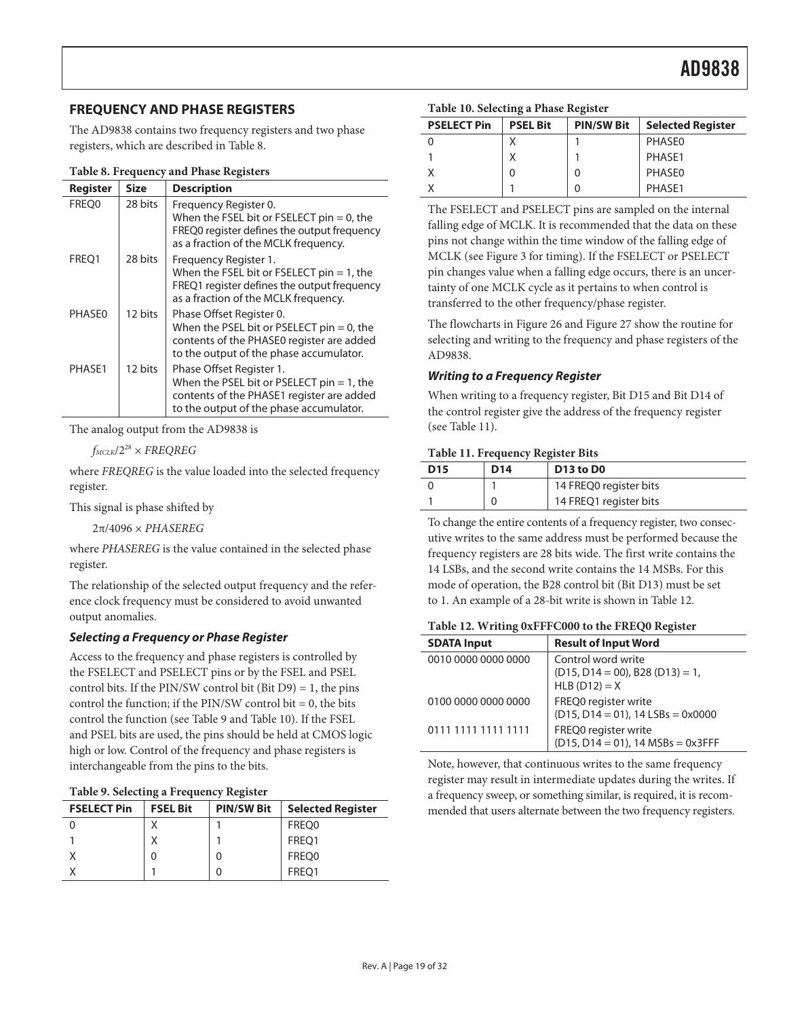### **FREQUENCY AND PHASE REGISTERS**

The AD9838 contains two frequency registers and two phase registers, which are described in Table 8.

|  |  | Table 8. Frequency and Phase Registers |  |
|--|--|----------------------------------------|--|
|--|--|----------------------------------------|--|

| <b>Register</b> | Size    | <b>Description</b>                                                                                                                                               |
|-----------------|---------|------------------------------------------------------------------------------------------------------------------------------------------------------------------|
| FREQ0           | 28 bits | Frequency Register 0.<br>When the FSEL bit or FSELECT pin $= 0$ , the<br>FREQ0 register defines the output frequency<br>as a fraction of the MCLK frequency.     |
| FREO1           | 28 bits | Frequency Register 1.<br>When the FSEL bit or FSELECT pin $= 1$ , the<br>FREQ1 register defines the output frequency<br>as a fraction of the MCLK frequency.     |
| PHASE0          | 12 bits | Phase Offset Register 0.<br>When the PSEL bit or PSELECT pin $= 0$ , the<br>contents of the PHASE0 register are added<br>to the output of the phase accumulator. |
| PHASE1          | 12 bits | Phase Offset Register 1.<br>When the PSEL bit or PSELECT pin $= 1$ , the<br>contents of the PHASE1 register are added<br>to the output of the phase accumulator. |

The analog output from the AD9838 is

 $f_{MCLK}/2^{28}$  × FREQREG

where FREQREG is the value loaded into the selected frequency register.

This signal is phase shifted by

2π/4096 × PHASEREG

where PHASEREG is the value contained in the selected phase register.

The relationship of the selected output frequency and the reference clock frequency must be considered to avoid unwanted output anomalies.

#### **Selecting a Frequency or Phase Register**

Access to the frequency and phase registers is controlled by the FSELECT and PSELECT pins or by the FSEL and PSEL control bits. If the PIN/SW control bit (Bit D9) = 1, the pins control the function; if the PIN/SW control bit  $= 0$ , the bits control the function (see Table 9 and Table 10). If the FSEL and PSEL bits are used, the pins should be held at CMOS logic high or low. Control of the frequency and phase registers is interchangeable from the pins to the bits.

|  | Table 9. Selecting a Frequency Register |  |  |
|--|-----------------------------------------|--|--|
|--|-----------------------------------------|--|--|

| <b>FSELECT Pin</b> | <b>FSEL Bit</b> | <b>PIN/SW Bit</b> | <b>Selected Register</b> |
|--------------------|-----------------|-------------------|--------------------------|
|                    |                 |                   | FREQ0                    |
|                    |                 |                   | FREO1                    |
|                    | 0               |                   | FREQ0                    |
|                    |                 |                   | FREO1                    |

|  |  | Table 10. Selecting a Phase Register |  |  |
|--|--|--------------------------------------|--|--|
|--|--|--------------------------------------|--|--|

| <b>PSELECT Pin</b> | <b>PSEL Bit</b> | <b>PIN/SW Bit</b> | <b>Selected Register</b> |
|--------------------|-----------------|-------------------|--------------------------|
|                    |                 |                   | PHASE0                   |
|                    |                 |                   | PHASE1                   |
|                    | 0               |                   | PHASE0                   |
|                    |                 |                   | PHASF1                   |

The FSELECT and PSELECT pins are sampled on the internal falling edge of MCLK. It is recommended that the data on these pins not change within the time window of the falling edge of MCLK (see Figure 3 for timing). If the FSELECT or PSELECT pin changes value when a falling edge occurs, there is an uncertainty of one MCLK cycle as it pertains to when control is transferred to the other frequency/phase register.

The flowcharts in Figure 26 and Figure 27 show the routine for selecting and writing to the frequency and phase registers of the AD9838.

#### **Writing to a Frequency Register**

When writing to a frequency register, Bit D15 and Bit D14 of the control register give the address of the frequency register (see Table 11).

#### **Table 11. Frequency Register Bits**

| <b>D15</b> | D <sub>14</sub> | D <sub>13</sub> to D <sub>0</sub> |
|------------|-----------------|-----------------------------------|
|            |                 | 14 FREQ0 register bits            |
|            |                 | 14 FREQ1 register bits            |

To change the entire contents of a frequency register, two consecutive writes to the same address must be performed because the frequency registers are 28 bits wide. The first write contains the 14 LSBs, and the second write contains the 14 MSBs. For this mode of operation, the B28 control bit (Bit D13) must be set to 1. An example of a 28-bit write is shown in Table 12.

| Table 12. Writing 0xFFFC000 to the FREQ0 Register |  |  |  |  |  |
|---------------------------------------------------|--|--|--|--|--|
|---------------------------------------------------|--|--|--|--|--|

| <b>SDATA Input</b>  | <b>Result of Input Word</b>                                                    |
|---------------------|--------------------------------------------------------------------------------|
| 0010 0000 0000 0000 | Control word write<br>$(D15, D14 = 00)$ , B28 $(D13) = 1$ ,<br>$HLB$ (D12) = X |
| 0100 0000 0000 0000 | FREQ0 register write<br>$(D15, D14 = 01)$ , 14 LSBs = 0x0000                   |
| 0111 1111 1111 1111 | FREQ0 register write<br>$(D15, D14 = 01)$ , 14 MSBs = 0x3FFF                   |

Note, however, that continuous writes to the same frequency register may result in intermediate updates during the writes. If a frequency sweep, or something similar, is required, it is recommended that users alternate between the two frequency registers.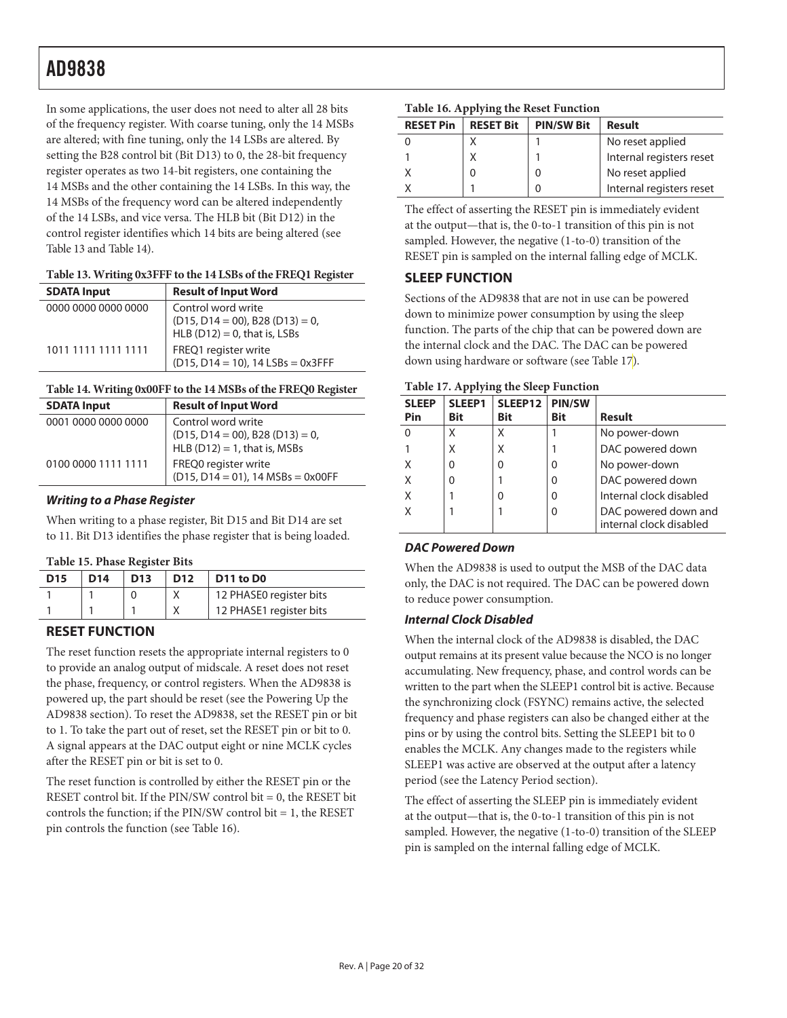In some applications, the user does not need to alter all 28 bits of the frequency register. With coarse tuning, only the 14 MSBs are altered; with fine tuning, only the 14 LSBs are altered. By setting the B28 control bit (Bit D13) to 0, the 28-bit frequency register operates as two 14-bit registers, one containing the 14 MSBs and the other containing the 14 LSBs. In this way, the 14 MSBs of the frequency word can be altered independently of the 14 LSBs, and vice versa. The HLB bit (Bit D12) in the control register identifies which 14 bits are being altered (see Table 13 and Table 14).

#### **Table 13. Writing 0x3FFF to the 14 LSBs of the FREQ1 Register**

| <b>SDATA Input</b>  | <b>Result of Input Word</b>                                                                    |
|---------------------|------------------------------------------------------------------------------------------------|
| 0000 0000 0000 0000 | Control word write<br>$(D15, D14 = 00)$ , B28 $(D13) = 0$ ,<br>HLB $(D12) = 0$ , that is, LSBs |
| 1011 1111 1111 1111 | FREQ1 register write<br>$(D15, D14 = 10)$ , 14 LSBs = 0x3FFF                                   |

#### **Table 14. Writing 0x00FF to the 14 MSBs of the FREQ0 Register**

| <b>SDATA Input</b>  | <b>Result of Input Word</b>                                              |
|---------------------|--------------------------------------------------------------------------|
| 0001 0000 0000 0000 | Control word write                                                       |
|                     | $(D15, D14 = 00)$ , B28 $(D13) = 0$ ,<br>HLB $(D12) = 1$ , that is, MSBs |
|                     |                                                                          |
| 0100 0000 1111 1111 | FREQ0 register write                                                     |
|                     | $(D15, D14 = 01)$ , 14 MSBs = 0x00FF                                     |

#### **Writing to a Phase Register**

When writing to a phase register, Bit D15 and Bit D14 are set to 11. Bit D13 identifies the phase register that is being loaded.

#### **Table 15. Phase Register Bits**

| <b>D15</b> | D <sub>14</sub> | D <sub>13</sub> | D <sub>12</sub> | D <sub>11</sub> to D <sub>0</sub> |
|------------|-----------------|-----------------|-----------------|-----------------------------------|
|            |                 |                 |                 | 12 PHASE0 register bits           |
|            |                 |                 |                 | 12 PHASE1 register bits           |

### **RESET FUNCTION**

The reset function resets the appropriate internal registers to 0 to provide an analog output of midscale. A reset does not reset the phase, frequency, or control registers. When the AD9838 is powered up, the part should be reset (see the Powering Up the AD9838 section). To reset the AD9838, set the RESET pin or bit to 1. To take the part out of reset, set the RESET pin or bit to 0. A signal appears at the DAC output eight or nine MCLK cycles after the RESET pin or bit is set to 0.

The reset function is controlled by either the RESET pin or the RESET control bit. If the PIN/SW control bit = 0, the RESET bit controls the function; if the PIN/SW control bit  $= 1$ , the RESET pin controls the function (see Table 16).

### **Table 16. Applying the Reset Function**

| <b>RESET Pin</b> | <b>RESET Bit</b> | <b>PIN/SW Bit</b> | Result                   |
|------------------|------------------|-------------------|--------------------------|
|                  |                  |                   | No reset applied         |
|                  |                  |                   | Internal registers reset |
|                  |                  |                   | No reset applied         |
|                  |                  |                   | Internal registers reset |

The effect of asserting the RESET pin is immediately evident at the output—that is, the 0-to-1 transition of this pin is not sampled. However, the negative (1-to-0) transition of the RESET pin is sampled on the internal falling edge of MCLK.

### **SLEEP FUNCTION**

Sections of the AD9838 that are not in use can be powered down to minimize power consumption by using the sleep function. The parts of the chip that can be powered down are the internal clock and the DAC. The DAC can be powered down using hardware or software (see Table 17).

#### **Table 17. Applying the Sleep Function**

| <b>SLEEP</b><br>Pin | SLEEP1<br><b>Bit</b> | <b>SLEEP12</b>  <br>Bit | <b>PIN/SW</b><br><b>Bit</b> | <b>Result</b>           |
|---------------------|----------------------|-------------------------|-----------------------------|-------------------------|
|                     |                      | Χ                       |                             | No power-down           |
|                     | Χ                    | Χ                       |                             | DAC powered down        |
|                     |                      | 0                       | Ω                           | No power-down           |
|                     |                      |                         | 0                           | DAC powered down        |
|                     |                      |                         | U                           | Internal clock disabled |
|                     |                      |                         | 0                           | DAC powered down and    |
|                     |                      |                         |                             | internal clock disabled |

### **DAC Powered Down**

When the AD9838 is used to output the MSB of the DAC data only, the DAC is not required. The DAC can be powered down to reduce power consumption.

#### **Internal Clock Disabled**

When the internal clock of the AD9838 is disabled, the DAC output remains at its present value because the NCO is no longer accumulating. New frequency, phase, and control words can be written to the part when the SLEEP1 control bit is active. Because the synchronizing clock (FSYNC) remains active, the selected frequency and phase registers can also be changed either at the pins or by using the control bits. Setting the SLEEP1 bit to 0 enables the MCLK. Any changes made to the registers while SLEEP1 was active are observed at the output after a latency period (see the Latency Period section).

The effect of asserting the SLEEP pin is immediately evident at the output—that is, the 0-to-1 transition of this pin is not sampled. However, the negative (1-to-0) transition of the SLEEP pin is sampled on the internal falling edge of MCLK.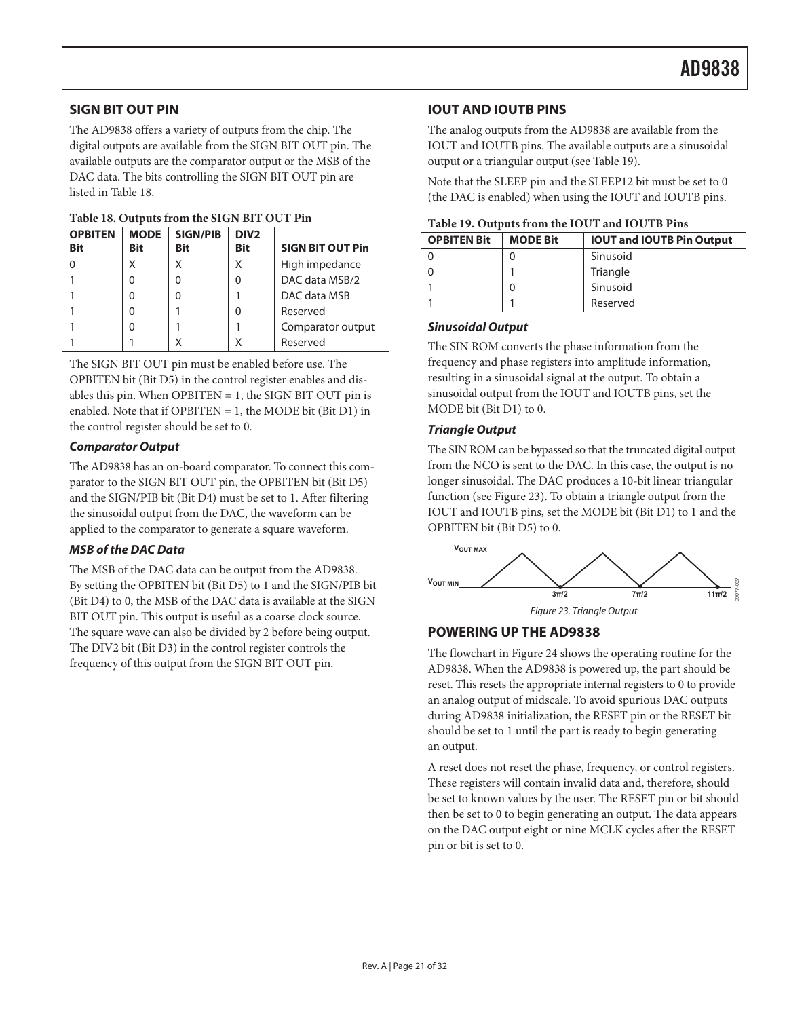The AD9838 offers a variety of outputs from the chip. The digital outputs are available from the SIGN BIT OUT pin. The available outputs are the comparator output or the MSB of the DAC data. The bits controlling the SIGN BIT OUT pin are listed in Table 18.

| <b>OPBITEN</b><br><b>Bit</b> | <b>MODE</b><br>Bit | <b>SIGN/PIB</b><br><b>Bit</b> | DIV <sub>2</sub><br>Bit | <b>SIGN BIT OUT Pin</b> |
|------------------------------|--------------------|-------------------------------|-------------------------|-------------------------|
|                              |                    |                               |                         | High impedance          |
|                              |                    | 0                             | 0                       | DAC data MSB/2          |
|                              |                    | U                             |                         | DAC data MSB            |
|                              |                    |                               | U                       | Reserved                |
|                              |                    |                               |                         | Comparator output       |
|                              |                    |                               |                         | Reserved                |

#### **Table 18. Outputs from the SIGN BIT OUT Pin**

The SIGN BIT OUT pin must be enabled before use. The OPBITEN bit (Bit D5) in the control register enables and disables this pin. When OPBITEN = 1, the SIGN BIT OUT pin is enabled. Note that if OPBITEN = 1, the MODE bit (Bit D1) in the control register should be set to 0. **Triangle Output** 

The AD9838 has an on-board comparator. To connect this comparator to the SIGN BIT OUT pin, the OPBITEN bit (Bit D5) and the SIGN/PIB bit (Bit D4) must be set to 1. After filtering the sinusoidal output from the DAC, the waveform can be applied to the comparator to generate a square waveform.

#### **MSB of the DAC Data**

The MSB of the DAC data can be output from the AD9838. By setting the OPBITEN bit (Bit D5) to 1 and the SIGN/PIB bit (Bit D4) to 0, the MSB of the DAC data is available at the SIGN BIT OUT pin. This output is useful as a coarse clock source. The square wave can also be divided by 2 before being output. The DIV2 bit (Bit D3) in the control register controls the frequency of this output from the SIGN BIT OUT pin.

#### **SIGN BIT OUT PIN IOUT AND IOUTB PINS**

The analog outputs from the AD9838 are available from the IOUT and IOUTB pins. The available outputs are a sinusoidal output or a triangular output (see Table 19).

Note that the SLEEP pin and the SLEEP12 bit must be set to 0 (the DAC is enabled) when using the IOUT and IOUTB pins.

|  | Table 19. Outputs from the IOUT and IOUTB Pins |  |  |
|--|------------------------------------------------|--|--|
|--|------------------------------------------------|--|--|

| <b>OPBITEN Bit</b> | <b>MODE Bit</b> | <b>IOUT and IOUTB Pin Output</b> |
|--------------------|-----------------|----------------------------------|
|                    |                 | Sinusoid                         |
|                    |                 | Triangle                         |
|                    |                 | Sinusoid                         |
|                    |                 | Reserved                         |

#### **Sinusoidal Output**

The SIN ROM converts the phase information from the frequency and phase registers into amplitude information, resulting in a sinusoidal signal at the output. To obtain a sinusoidal output from the IOUT and IOUTB pins, set the MODE bit (Bit D1) to 0.

**Comparator Output Comparator Output The SIN ROM** can be bypassed so that the truncated digital output from the NCO is sent to the DAC. In this case, the output is no longer sinusoidal. The DAC produces a 10-bit linear triangular function (see Figure 23). To obtain a triangle output from the IOUT and IOUTB pins, set the MODE bit (Bit D1) to 1 and the OPBITEN bit (Bit D5) to 0.



### **POWERING UP THE AD9838**

The flowchart in Figure 24 shows the operating routine for the AD9838. When the AD9838 is powered up, the part should be reset. This resets the appropriate internal registers to 0 to provide an analog output of midscale. To avoid spurious DAC outputs during AD9838 initialization, the RESET pin or the RESET bit should be set to 1 until the part is ready to begin generating an output.

A reset does not reset the phase, frequency, or control registers. These registers will contain invalid data and, therefore, should be set to known values by the user. The RESET pin or bit should then be set to 0 to begin generating an output. The data appears on the DAC output eight or nine MCLK cycles after the RESET pin or bit is set to 0.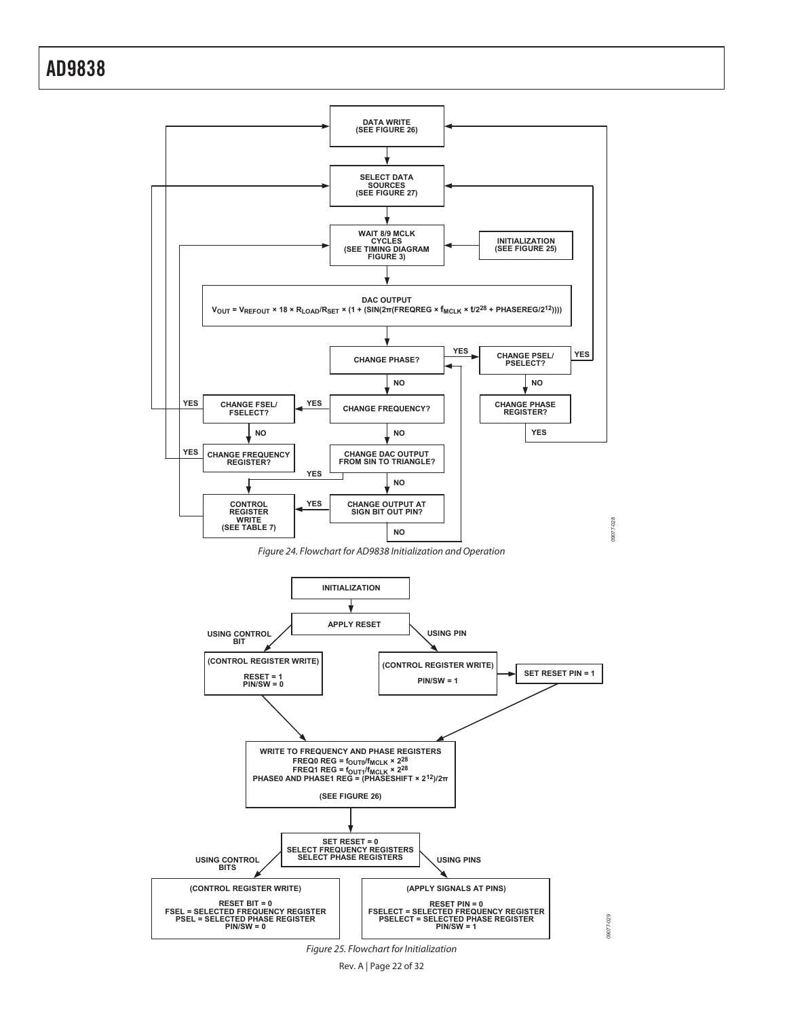

Figure 25. Flowchart for Initialization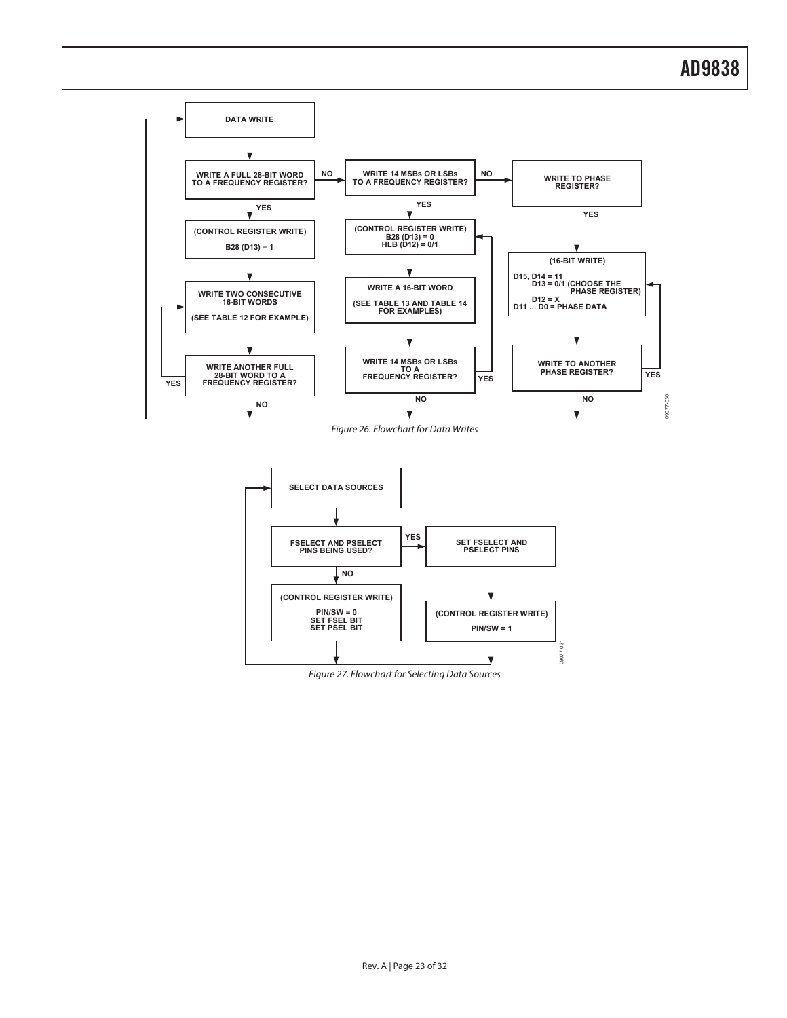

Figure 26. Flowchart for Data Writes



Figure 27. Flowchart for Selecting Data Sources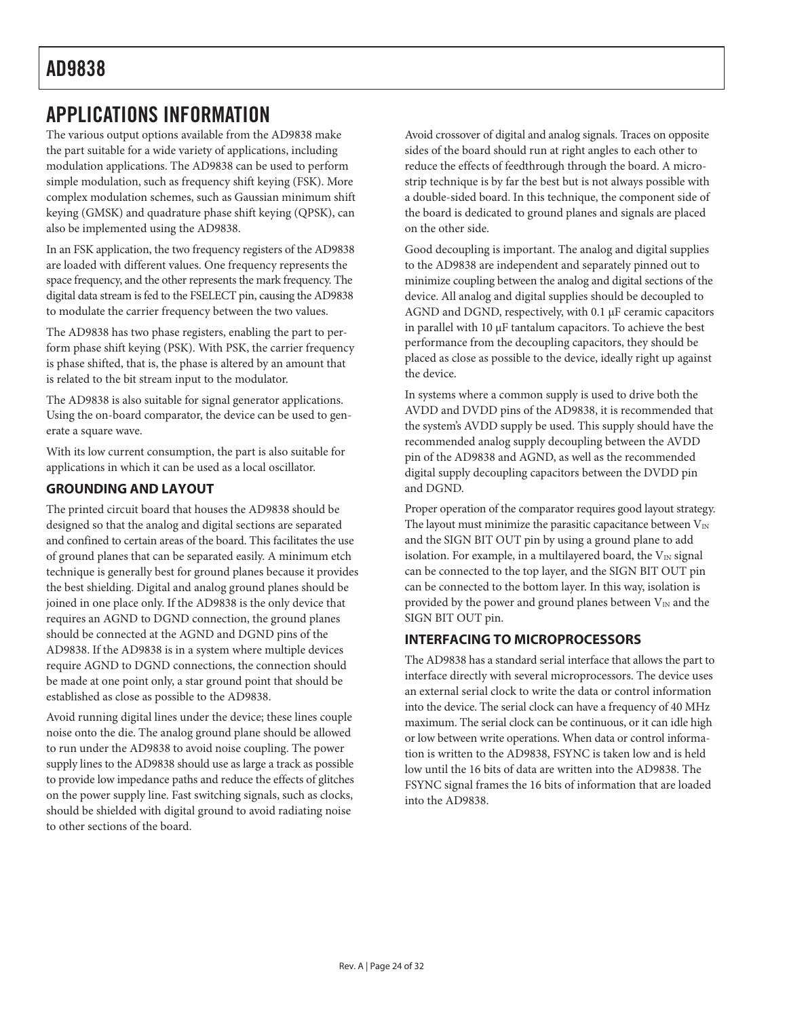## APPLICATIONS INFORMATION

The various output options available from the AD9838 make the part suitable for a wide variety of applications, including modulation applications. The AD9838 can be used to perform simple modulation, such as frequency shift keying (FSK). More complex modulation schemes, such as Gaussian minimum shift keying (GMSK) and quadrature phase shift keying (QPSK), can also be implemented using the AD9838.

In an FSK application, the two frequency registers of the AD9838 are loaded with different values. One frequency represents the space frequency, and the other represents the mark frequency. The digital data stream is fed to the FSELECT pin, causing the AD9838 to modulate the carrier frequency between the two values.

The AD9838 has two phase registers, enabling the part to perform phase shift keying (PSK). With PSK, the carrier frequency is phase shifted, that is, the phase is altered by an amount that is related to the bit stream input to the modulator.

The AD9838 is also suitable for signal generator applications. Using the on-board comparator, the device can be used to generate a square wave.

With its low current consumption, the part is also suitable for applications in which it can be used as a local oscillator.

### **GROUNDING AND LAYOUT**

The printed circuit board that houses the AD9838 should be designed so that the analog and digital sections are separated and confined to certain areas of the board. This facilitates the use of ground planes that can be separated easily. A minimum etch technique is generally best for ground planes because it provides the best shielding. Digital and analog ground planes should be joined in one place only. If the AD9838 is the only device that requires an AGND to DGND connection, the ground planes should be connected at the AGND and DGND pins of the AD9838. If the AD9838 is in a system where multiple devices require AGND to DGND connections, the connection should be made at one point only, a star ground point that should be established as close as possible to the AD9838.

Avoid running digital lines under the device; these lines couple noise onto the die. The analog ground plane should be allowed to run under the AD9838 to avoid noise coupling. The power supply lines to the AD9838 should use as large a track as possible to provide low impedance paths and reduce the effects of glitches on the power supply line. Fast switching signals, such as clocks, should be shielded with digital ground to avoid radiating noise to other sections of the board.

Avoid crossover of digital and analog signals. Traces on opposite sides of the board should run at right angles to each other to reduce the effects of feedthrough through the board. A microstrip technique is by far the best but is not always possible with a double-sided board. In this technique, the component side of the board is dedicated to ground planes and signals are placed on the other side.

Good decoupling is important. The analog and digital supplies to the AD9838 are independent and separately pinned out to minimize coupling between the analog and digital sections of the device. All analog and digital supplies should be decoupled to AGND and DGND, respectively, with 0.1 μF ceramic capacitors in parallel with 10 μF tantalum capacitors. To achieve the best performance from the decoupling capacitors, they should be placed as close as possible to the device, ideally right up against the device.

In systems where a common supply is used to drive both the AVDD and DVDD pins of the AD9838, it is recommended that the system's AVDD supply be used. This supply should have the recommended analog supply decoupling between the AVDD pin of the AD9838 and AGND, as well as the recommended digital supply decoupling capacitors between the DVDD pin and DGND.

Proper operation of the comparator requires good layout strategy. The layout must minimize the parasitic capacitance between  $V_{IN}$ and the SIGN BIT OUT pin by using a ground plane to add isolation. For example, in a multilayered board, the  $V_{IN}$  signal can be connected to the top layer, and the SIGN BIT OUT pin can be connected to the bottom layer. In this way, isolation is provided by the power and ground planes between  $V_{IN}$  and the SIGN BIT OUT pin.

### **INTERFACING TO MICROPROCESSORS**

The AD9838 has a standard serial interface that allows the part to interface directly with several microprocessors. The device uses an external serial clock to write the data or control information into the device. The serial clock can have a frequency of 40 MHz maximum. The serial clock can be continuous, or it can idle high or low between write operations. When data or control information is written to the AD9838, FSYNC is taken low and is held low until the 16 bits of data are written into the AD9838. The FSYNC signal frames the 16 bits of information that are loaded into the AD9838.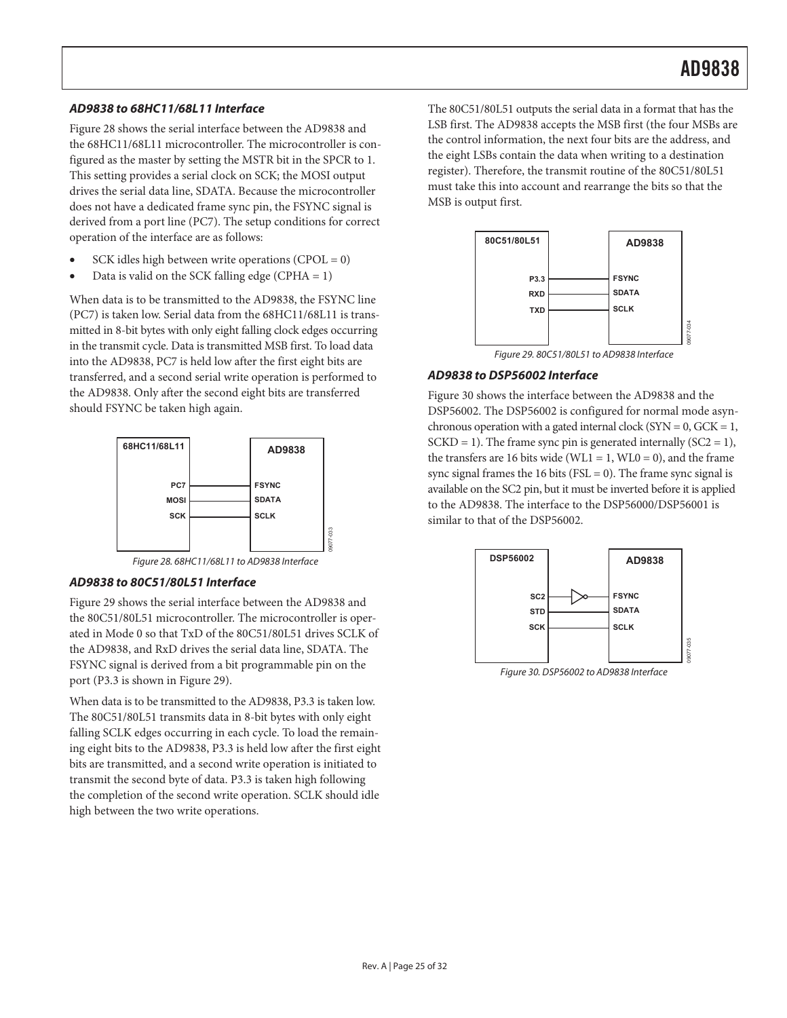#### **AD9838 to 68HC11/68L11 Interface**

Figure 28 shows the serial interface between the AD9838 and the 68HC11/68L11 microcontroller. The microcontroller is configured as the master by setting the MSTR bit in the SPCR to 1. This setting provides a serial clock on SCK; the MOSI output drives the serial data line, SDATA. Because the microcontroller does not have a dedicated frame sync pin, the FSYNC signal is derived from a port line (PC7). The setup conditions for correct operation of the interface are as follows:

- SCK idles high between write operations ( $CPOL = 0$ )
- Data is valid on the SCK falling edge (CPHA  $= 1$ )

When data is to be transmitted to the AD9838, the FSYNC line (PC7) is taken low. Serial data from the 68HC11/68L11 is transmitted in 8-bit bytes with only eight falling clock edges occurring in the transmit cycle. Data is transmitted MSB first. To load data into the AD9838, PC7 is held low after the first eight bits are transferred, and a second serial write operation is performed to the AD9838. Only after the second eight bits are transferred should FSYNC be taken high again.



Figure 28. 68HC11/68L11 to AD9838 Interface

09077-033

#### **AD9838 to 80C51/80L51 Interface**

Figure 29 shows the serial interface between the AD9838 and the 80C51/80L51 microcontroller. The microcontroller is operated in Mode 0 so that TxD of the 80C51/80L51 drives SCLK of the AD9838, and RxD drives the serial data line, SDATA. The FSYNC signal is derived from a bit programmable pin on the port (P3.3 is shown in Figure 29).

When data is to be transmitted to the AD9838, P3.3 is taken low. The 80C51/80L51 transmits data in 8-bit bytes with only eight falling SCLK edges occurring in each cycle. To load the remaining eight bits to the AD9838, P3.3 is held low after the first eight bits are transmitted, and a second write operation is initiated to transmit the second byte of data. P3.3 is taken high following the completion of the second write operation. SCLK should idle high between the two write operations.

The 80C51/80L51 outputs the serial data in a format that has the LSB first. The AD9838 accepts the MSB first (the four MSBs are the control information, the next four bits are the address, and the eight LSBs contain the data when writing to a destination register). Therefore, the transmit routine of the 80C51/80L51 must take this into account and rearrange the bits so that the MSB is output first.



Figure 29. 80C51/80L51 to AD9838 Interface

#### **AD9838 to DSP56002 Interface**

Figure 30 shows the interface between the AD9838 and the DSP56002. The DSP56002 is configured for normal mode asynchronous operation with a gated internal clock ( $SYN = 0$ ,  $GCK = 1$ ,  $SCKD = 1$ ). The frame sync pin is generated internally  $(SC2 = 1)$ , the transfers are 16 bits wide (WL1 = 1, WL0 = 0), and the frame sync signal frames the 16 bits ( $FSL = 0$ ). The frame sync signal is available on the SC2 pin, but it must be inverted before it is applied to the AD9838. The interface to the DSP56000/DSP56001 is similar to that of the DSP56002.



Figure 30. DSP56002 to AD9838 Interface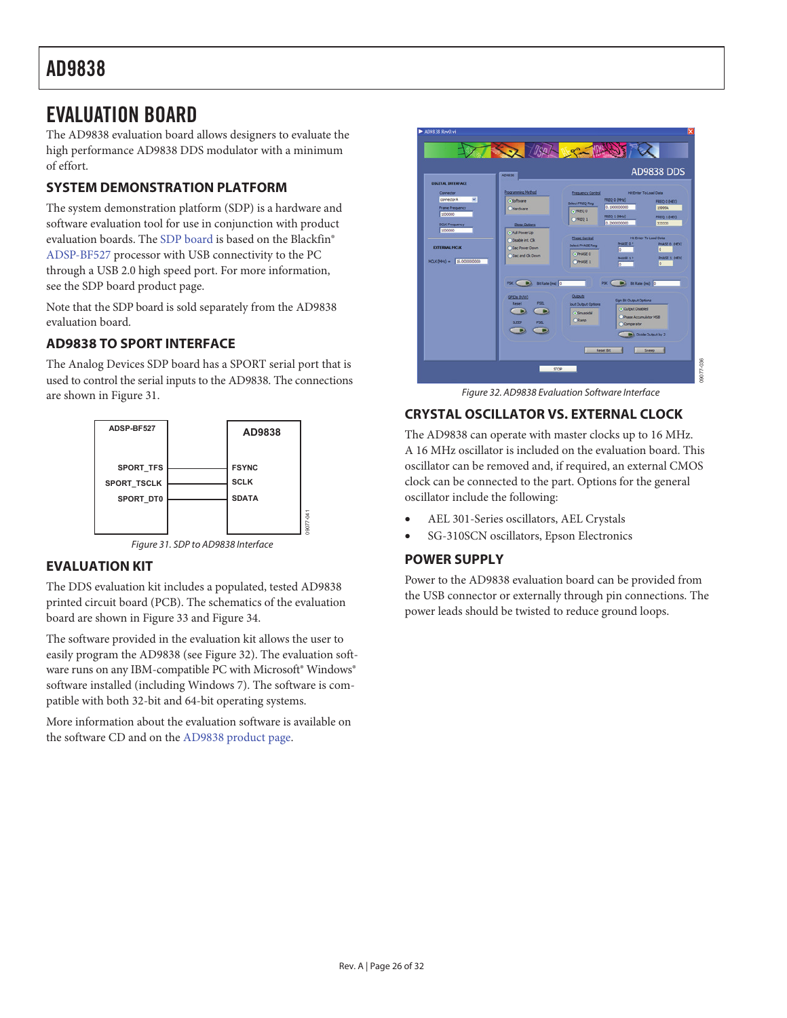## EVALUATION BOARD

The AD9838 evaluation board allows designers to evaluate the high performance AD9838 DDS modulator with a minimum of effort.

### **SYSTEM DEMONSTRATION PLATFORM**

The system demonstration platform (SDP) is a hardware and software evaluation tool for use in conjunction with product evaluation boards. The SDP board is based on the Blackfin® ADSP-BF527 processor with USB connectivity to the PC through a USB 2.0 high speed port. For more information, see the SDP board product page.

Note that the SDP board is sold separately from the AD9838 evaluation board.

### **AD9838 TO SPORT INTERFACE**

The Analog Devices SDP board has a SPORT serial port that is used to control the serial inputs to the AD9838. The connections are shown in Figure 31.





09077-041

### **EVALUATION KIT**

The DDS evaluation kit includes a populated, tested AD9838 printed circuit board (PCB). The schematics of the evaluation board are shown in Figure 33 and Figure 34.

The software provided in the evaluation kit allows the user to easily program the AD9838 (see Figure 32). The evaluation software runs on any IBM-compatible PC with Microsoft® Windows® software installed (including Windows 7). The software is compatible with both 32-bit and 64-bit operating systems.

More information about the evaluation software is available on the software CD and on the AD9838 product page.



Figure 32. AD9838 Evaluation Software Interface

### **CRYSTAL OSCILLATOR VS. EXTERNAL CLOCK**

The AD9838 can operate with master clocks up to 16 MHz. A 16 MHz oscillator is included on the evaluation board. This oscillator can be removed and, if required, an external CMOS clock can be connected to the part. Options for the general oscillator include the following:

- x AEL 301-Series oscillators, AEL Crystals
- SG-310SCN oscillators, Epson Electronics

### **POWER SUPPLY**

Power to the AD9838 evaluation board can be provided from the USB connector or externally through pin connections. The power leads should be twisted to reduce ground loops.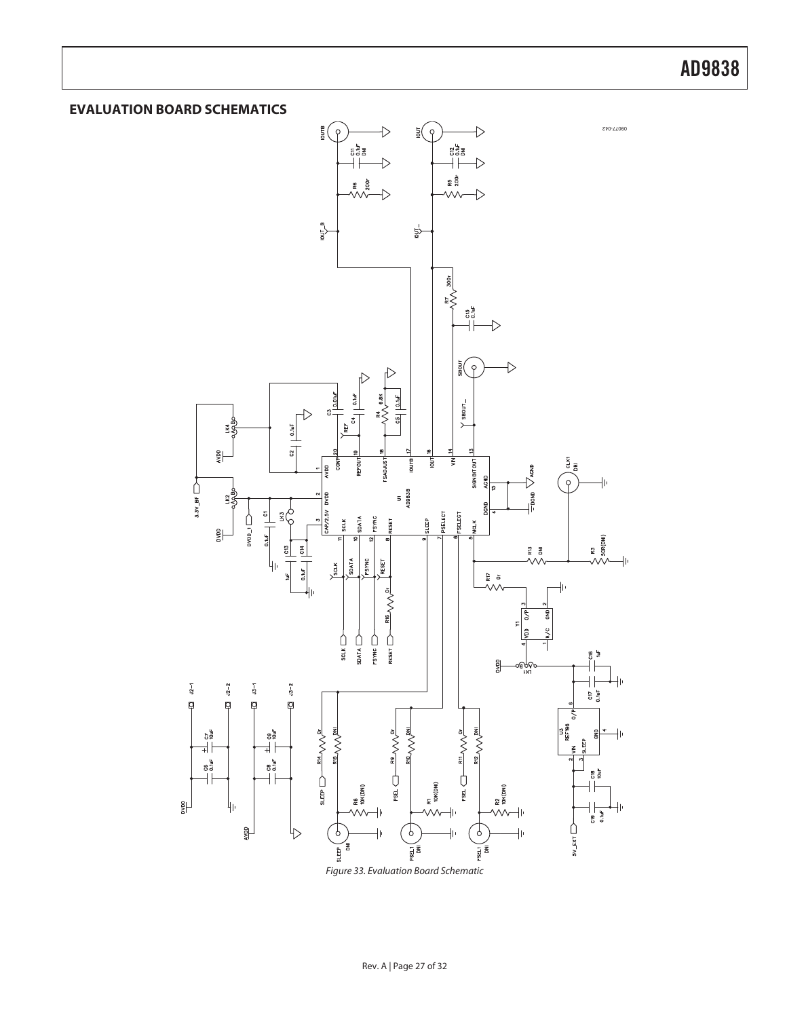### **EVALUATION BOARD SCHEMATICS**



Figure 33. Evaluation Board Schematic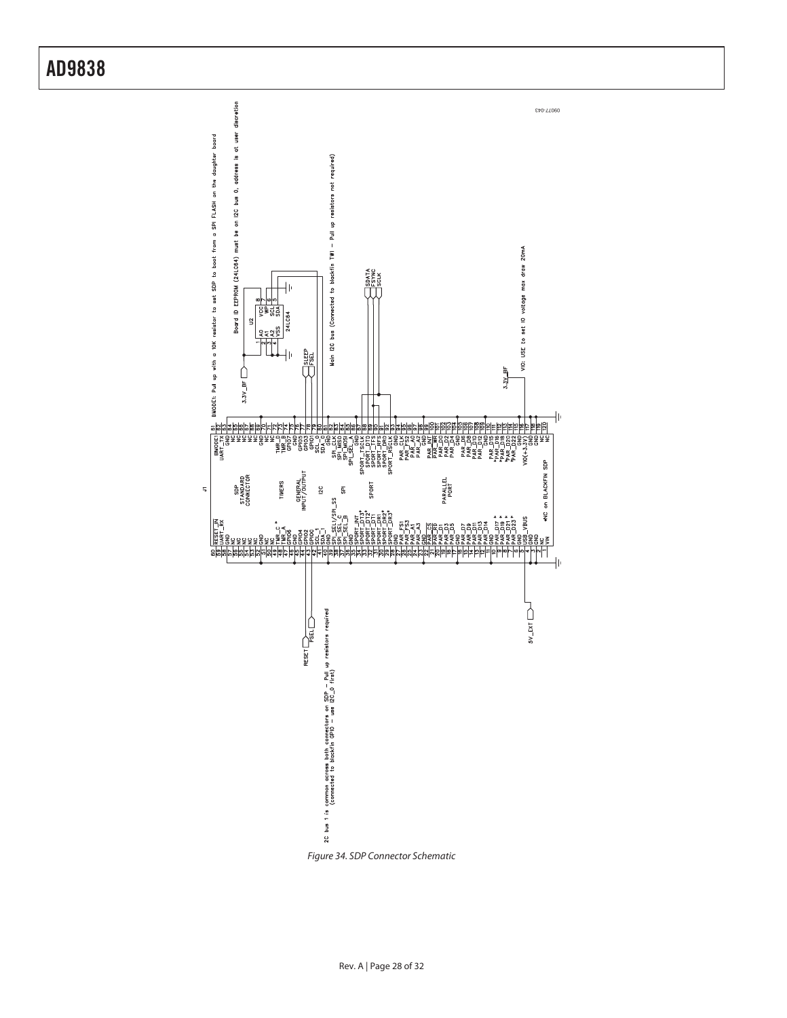

Figure 34. SDP Connector Schematic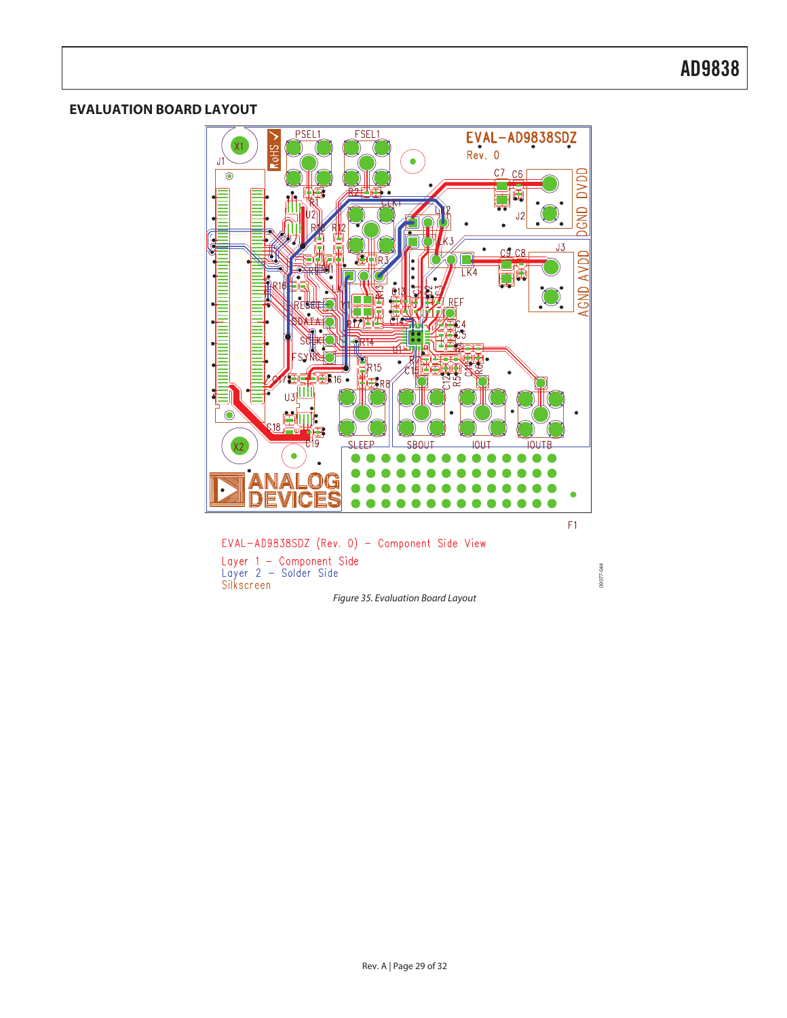### **EVALUATION BOARD LAYOUT**

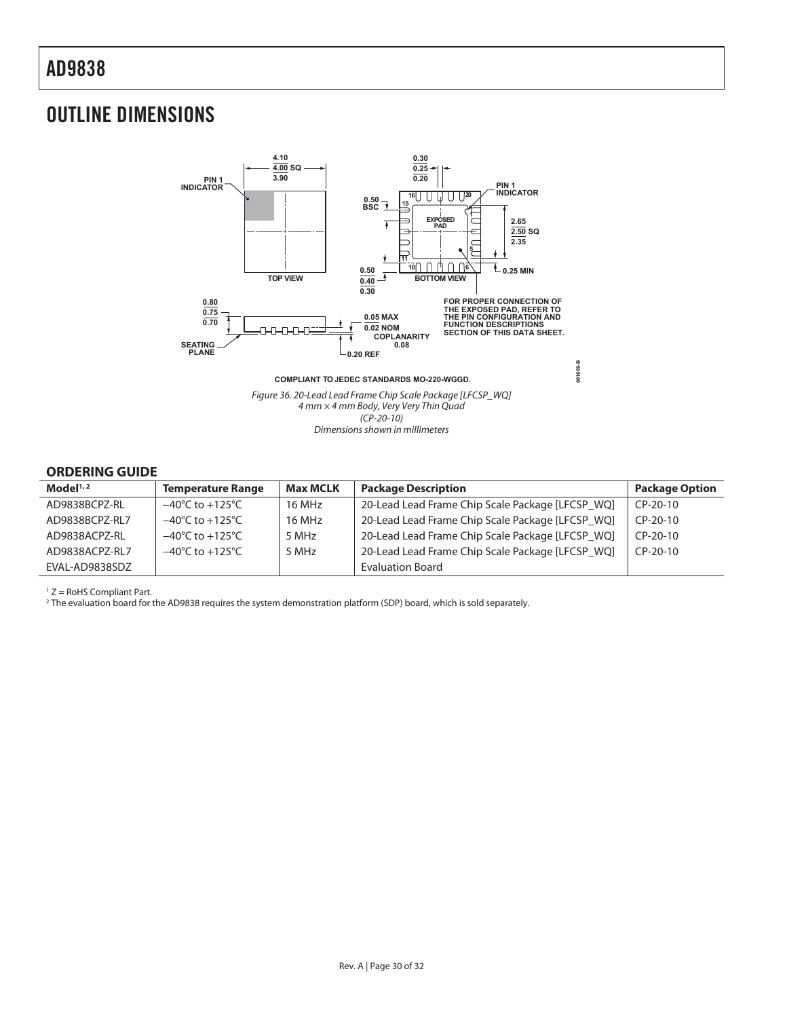## OUTLINE DIMENSIONS



#### **ORDERING GUIDE**

| Model <sup>1,2</sup> | <b>Temperature Range</b>            | <b>Max MCLK</b> | <b>Package Description</b>                       | <b>Package Option</b> |
|----------------------|-------------------------------------|-----------------|--------------------------------------------------|-----------------------|
| AD9838BCPZ-RL        | $-40^{\circ}$ C to $+125^{\circ}$ C | 16 MHz          | 20-Lead Lead Frame Chip Scale Package [LFCSP WQ] | $CP-20-10$            |
| AD9838BCPZ-RL7       | $-40^{\circ}$ C to $+125^{\circ}$ C | 16 MHz          | 20-Lead Lead Frame Chip Scale Package [LFCSP WQ] | $CP-20-10$            |
| AD9838ACPZ-RL        | $-40^{\circ}$ C to $+125^{\circ}$ C | 5 MHz           | 20-Lead Lead Frame Chip Scale Package [LFCSP_WQ] | $CP-20-10$            |
| AD9838ACPZ-RL7       | $-40^{\circ}$ C to $+125^{\circ}$ C | 5 MHz           | 20-Lead Lead Frame Chip Scale Package [LFCSP WQ] | $CP-20-10$            |
| EVAL-AD9838SDZ       |                                     |                 | <b>Evaluation Board</b>                          |                       |

<sup>1</sup> Z = RoHS Compliant Part.<br><sup>2</sup> The evaluation board for the AD9838 requires the system demonstration platform (SDP) board, which is sold separately.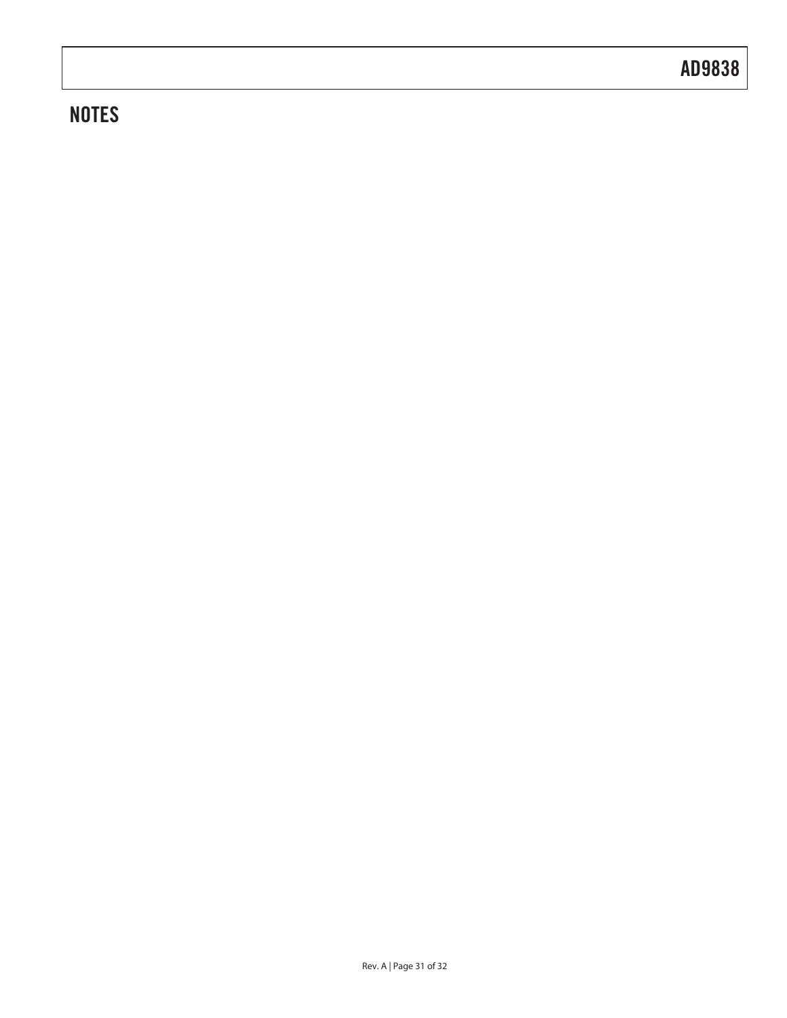## **NOTES**